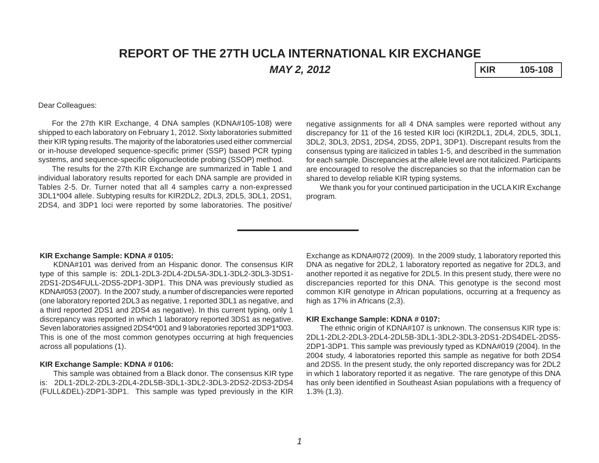# **REPORT OF THE 27TH UCLA INTERNATIONAL KIR EXCHANGE** *MAY 2, 2012* **KIR 105-108**

Dear Colleagues:

For the 27th KIR Exchange, 4 DNA samples (KDNA#105-108) were shipped to each laboratory on February 1, 2012. Sixty laboratories submitted their KIR typing results. The majority of the laboratories used either commercial or in-house developed sequence-specific primer (SSP) based PCR typing systems, and sequence-specific oligonucleotide probing (SSOP) method.

The results for the 27th KIR Exchange are summarized in Table 1 and individual laboratory results reported for each DNA sample are provided in Tables 2-5. Dr. Turner noted that all 4 samples carry a non-expressed 3DL1\*004 allele. Subtyping results for KIR2DL2, 2DL3, 2DL5, 3DL1, 2DS1, 2DS4, and 3DP1 loci were reported by some laboratories. The positive/ negative assignments for all 4 DNA samples were reported without any discrepancy for 11 of the 16 tested KIR loci (KIR2DL1, 2DL4, 2DL5, 3DL1, 3DL2, 3DL3, 2DS1, 2DS4, 2DS5, 2DP1, 3DP1). Discrepant results from the consensus typing are italicized in tables 1-5, and described in the summation for each sample. Discrepancies at the allele level are not italicized. Participants are encouraged to resolve the discrepancies so that the information can be shared to develop reliable KIR typing systems.

We thank you for your continued participation in the UCLA KIR Exchange program.

#### **KIR Exchange Sample: KDNA # 0105:**

KDNA#101 was derived from an Hispanic donor. The consensus KIR type of this sample is: 2DL1-2DL3-2DL4-2DL5A-3DL1-3DL2-3DL3-3DS1- 2DS1-2DS4FULL-2DS5-2DP1-3DP1. This DNA was previously studied as KDNA#053 (2007). In the 2007 study, a number of discrepancies were reported (one laboratory reported 2DL3 as negative, 1 reported 3DL1 as negative, and a third reported 2DS1 and 2DS4 as negative). In this current typing, only 1 discrepancy was reported in which 1 laboratory reported 3DS1 as negative. Seven laboratories assigned 2DS4\*001 and 9 laboratories reported 3DP1\*003. This is one of the most common genotypes occurring at high frequencies across all populations (1).

#### **KIR Exchange Sample: KDNA # 0106:**

This sample was obtained from a Black donor. The consensus KIR type is: 2DL1-2DL2-2DL3-2DL4-2DL5B-3DL1-3DL2-3DL3-2DS2-2DS3-2DS4 (FULL&DEL)-2DP1-3DP1. This sample was typed previously in the KIR

Exchange as KDNA#072 (2009). In the 2009 study, 1 laboratory reported this DNA as negative for 2DL2, 1 laboratory reported as negative for 2DL3, and another reported it as negative for 2DL5. In this present study, there were no discrepancies reported for this DNA. This genotype is the second most common KIR genotype in African populations, occurring at a frequency as high as 17% in Africans (2,3).

#### **KIR Exchange Sample: KDNA # 0107:**

The ethnic origin of KDNA#107 is unknown. The consensus KIR type is: 2DL1-2DL2-2DL3-2DL4-2DL5B-3DL1-3DL2-3DL3-2DS1-2DS4DEL-2DS5- 2DP1-3DP1. This sample was previously typed as KDNA#019 (2004). In the 2004 study, 4 laboratories reported this sample as negative for both 2DS4 and 2DS5. In the present study, the only reported discrepancy was for 2DL2 in which 1 laboratory reported it as negative. The rare genotype of this DNA has only been identified in Southeast Asian populations with a frequency of 1.3% (1,3).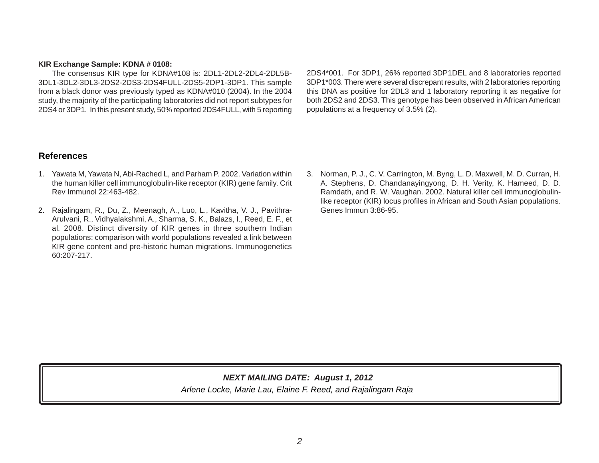### **KIR Exchange Sample: KDNA # 0108:**

The consensus KIR type for KDNA#108 is: 2DL1-2DL2-2DL4-2DL5B-3DL1-3DL2-3DL3-2DS2-2DS3-2DS4FULL-2DS5-2DP1-3DP1. This sample from a black donor was previously typed as KDNA#010 (2004). In the 2004 study, the majority of the participating laboratories did not report subtypes for 2DS4 or 3DP1. In this present study, 50% reported 2DS4FULL, with 5 reporting 2DS4\*001. For 3DP1, 26% reported 3DP1DEL and 8 laboratories reported 3DP1\*003. There were several discrepant results, with 2 laboratories reporting this DNA as positive for 2DL3 and 1 laboratory reporting it as negative for both 2DS2 and 2DS3. This genotype has been observed in African American populations at a frequency of 3.5% (2).

# **References**

- 1. Yawata M, Yawata N, Abi-Rached L, and Parham P. 2002. Variation within the human killer cell immunoglobulin-like receptor (KIR) gene family. Crit Rev Immunol 22:463-482.
- 2. Rajalingam, R., Du, Z., Meenagh, A., Luo, L., Kavitha, V. J., Pavithra-Arulvani, R., Vidhyalakshmi, A., Sharma, S. K., Balazs, I., Reed, E. F., et al*.* 2008. Distinct diversity of KIR genes in three southern Indian populations: comparison with world populations revealed a link between KIR gene content and pre-historic human migrations. Immunogenetics 60:207-217.
- 3. Norman, P. J., C. V. Carrington, M. Byng, L. D. Maxwell, M. D. Curran, H. A. Stephens, D. Chandanayingyong, D. H. Verity, K. Hameed, D. D. Ramdath, and R. W. Vaughan. 2002. Natural killer cell immunoglobulinlike receptor (KIR) locus profiles in African and South Asian populations. Genes Immun 3:86-95.

# *Arlene Locke, Marie Lau, Elaine F. Reed, and Rajalingam Raja NEXT MAILING DATE: August 1, 2012*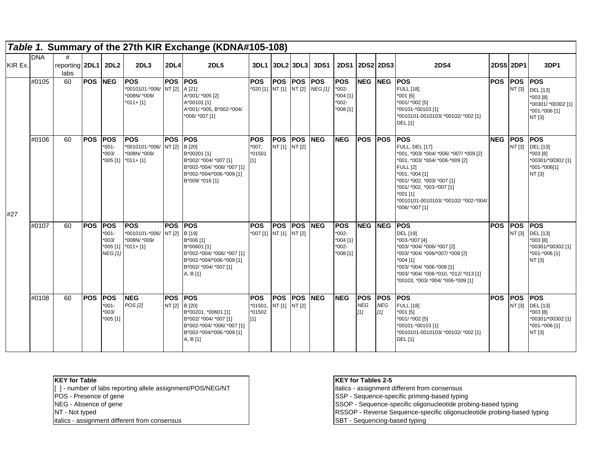|         |            |                             |                |                                                                |                                                                            |                      | Table 1. Summary of the 27th KIR Exchange (KDNA#105-108)                                                                                         |                                             |                             |                       |                              |                                                            |                                 |                                 |                                                                                                                                                                                                                                                                                         |                |                      |                                                                                            |
|---------|------------|-----------------------------|----------------|----------------------------------------------------------------|----------------------------------------------------------------------------|----------------------|--------------------------------------------------------------------------------------------------------------------------------------------------|---------------------------------------------|-----------------------------|-----------------------|------------------------------|------------------------------------------------------------|---------------------------------|---------------------------------|-----------------------------------------------------------------------------------------------------------------------------------------------------------------------------------------------------------------------------------------------------------------------------------------|----------------|----------------------|--------------------------------------------------------------------------------------------|
| KIR Ex. | <b>DNA</b> | reporting 2DL1 2DL2<br>labs |                |                                                                | <b>2DL3</b>                                                                | <b>2DL4</b>          | <b>2DL5</b>                                                                                                                                      | 3DL1 3DL2 3DL3                              |                             |                       | <b>3DS1</b>                  | <b>2DS1</b>                                                | <b>2DS2 2DS3</b>                |                                 | <b>2DS4</b>                                                                                                                                                                                                                                                                             | 2DS5 2DP1      |                      | 3DP1                                                                                       |
|         | #0105      | 60                          | <b>POS NEG</b> |                                                                | <b>POS</b><br>*0010101-*006/ NT [2] A [21]<br>*008N/ *009/<br>$*011 + [1]$ | <b>POS</b>           | <b>IPOS</b><br>A*001/ *005 [2]<br>A*00101 [1]<br>A*001/ *005, B*002-*004/<br>*006/ *007 [1]                                                      | <b>POS</b><br>*020 [1] NT [1] NT [2]        | POS POS                     |                       | <b>POS</b><br><b>NEG [1]</b> | <b>POS</b><br>$*002-$<br>*004 [1]<br>$*002-$<br>*008 [1]   | <b>NEG</b>                      | <b>INEG</b>                     | <b>POS</b><br><b>FULL</b> [18]<br>$*001$ [6]<br>*001/ *002 [5]<br>*00101-*00103 [1]<br>*0010101-0010103/ *00102/ *002 [1]<br><b>DEL</b> [1]                                                                                                                                             | <b>POS</b>     | <b>POS</b><br>NT [3] | <b>POS</b><br>DEL [13]<br>*003 [8]<br>*00301/ *00302 [1]<br>*001-*006 [1]<br>NT [3]        |
| #27     | #0106      | 60                          | <b>POS</b>     | <b>POS</b><br>$001 -$<br>003/                                  | <b>POS</b><br>*0010101-*006/ NT [2]<br>*008N/ *009/<br>*005 [1] *011+ [1]  | <b>POS</b>           | <b>POS</b><br>B [20]<br>B*00201 [1]<br>B*002/ *004/ *007 [1]<br>B*002-*004/ *006/ *007 [1]<br>B*002-*004/*006-*009 [1]<br>B*009/ *016 [1]        | <b>POS</b><br>$*007.$<br>*01501<br>$[1]$    | <b>POS</b><br>NT [1] NT [2] | <b>IPOS</b>           | <b>NEG</b>                   | <b>NEG</b>                                                 | <b>POS POS</b>                  |                                 | <b>IPOS</b><br><b>FULL, DEL [17]</b><br>*001, *003/ *004/ *006/ *007/ *009 [2]<br>*001, *003/ *004/ *006-*009 [2]<br><b>FULL [2]</b><br>*001, *004 [1]<br>*001/ *002, *003/ *007 [1]<br>*001/ *002, *003-*007 [1]<br>*001 [1]<br>*0010101-0010103/ *00102/ *002-*004/<br>*006/ *007 [1] | <b>NEG POS</b> | NT [3]               | <b>POS</b><br><b>DEL</b> [13]<br>*003 [8]<br>*00301/*00302 [1]<br>*001-*006[1]<br>NT [3]   |
|         | #0107      | 60                          | <b>POS</b>     | <b>POS</b><br>$001 -$<br>*003/<br>$*005$ [1]<br><b>NEG</b> [1] | <b>POS</b><br>*0010101-*006/ NT [2]<br>*008N/ *009/<br>$*011 + [1]$        | <b>POS</b>           | <b>IPOS</b><br>B [19]<br>B*006 [1]<br>B*00601 [1]<br>B*002-*004/ *006/ *007 [1]<br>B*002-*004/*006-*009 [1]<br>B*002/ *004/ *007 [1]<br>A, B [1] | <b>POS</b><br>*007 [1] NT [1] NT [2]        | <b>POS</b>                  | <b>POS</b>            | <b>NEG</b>                   | <b>POS</b><br>$*002-$<br>*004 [1]<br>$*002-$<br>$*008$ [1] | <b>NEG</b>                      | <b>INEG</b>                     | <b>POS</b><br><b>DEL [19]</b><br>*003-*007 [4]<br>*003/ *004/ *006/ *007 [2]<br>*003/ *004/ *006/*007/ *009 [2]<br>$*004$ [1]<br>*003/ *004/ *006-*009 [1]<br>*003/ *004/ *006-*010, *012/ *013 [1]<br>*00103, *003/ *004/ *006-*009 [1]                                                | <b>POS</b>     | <b>POS</b><br>NT [3] | <b>POS</b><br><b>DEL</b> [13]<br>$*003[8]$<br>*00301/*00302 [1]<br>*001-*006 [1]<br>NT [3] |
|         | #0108      | 60                          | <b>POS</b>     | <b>POS</b><br>$*001-$<br>1003/<br>*005 [1]                     | <b>NEG</b><br><b>POS [2]</b>                                               | <b>POS</b><br>NT [2] | <b>POS</b><br>B [20]<br>B*00201, *00601 [1]<br>B*002/ *004/ *007 [1]<br>B*002-*004/ *006/ *007 [1]<br>B*002-*004/*006-*009 [1]<br>A, B [1]       | <b>POS</b><br>$*01501$<br>$*01502$<br>$[1]$ | <b>POS</b><br>NT [1]        | <b>IPOS</b><br>NT [2] | <b>NEG</b>                   | <b>NEG</b>                                                 | <b>POS</b><br><b>NEG</b><br>[1] | <b>POS</b><br><b>NEG</b><br>[1] | <b>POS</b><br><b>FULL [18]</b><br>*001 [5]<br>*001/ *002 [5]<br>*00101-*00103 [1]<br>*0010101-0010103/ *00102/ *002 [1]<br><b>DEL</b> [1]                                                                                                                                               | <b>POS</b>     | <b>POS</b><br>NT [3] | <b>POS</b><br>DEL [13]<br>*003 [8]<br>*00301/*00302 [1]<br>*001-*006 [1]<br>NT [3]         |

[ ] - number of labs reporting allele assignment/POS/NEG/NT italics - assignment different from consensus<br>
POS - Presence of gene<br>
NEG - Absence of gene<br>
NEG - Absence of gene

italics - assignment different from consensus SBT - Sequencing-based typing

## **KEY for Table KEY for Tables 2-5**

POS - Presence of gene SSP - Sequence-specific priming-based typing

NEG - Absence of gene SSOP - Sequence-specific oligonucleotide probing-based typing

NT - Not typed RSSOP - Reverse Sequence-specific oligonucleotide probing-based typing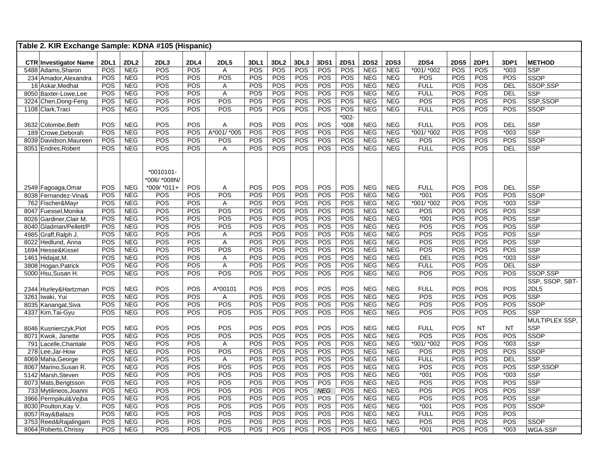| <b>2DL2</b><br>2DL3<br>3DS1<br><b>2DS1</b><br><b>2DS2</b><br><b>2DP1</b><br><b>CTR Investigator Name</b><br><b>2DL1</b><br><b>2DL4</b><br><b>2DL5</b><br>3DL1<br>3DL <sub>2</sub><br>3DL3<br><b>2DS3</b><br><b>2DS4</b><br><b>2DS5</b><br>3DP1<br><b>METHOD</b><br><b>POS</b><br><b>NEG</b><br>POS<br><b>POS</b><br><b>POS</b><br><b>POS</b><br><b>POS</b><br><b>POS</b><br><b>POS</b><br><b>NEG</b><br><b>NEG</b><br>*001/ *002<br><b>POS</b><br><b>POS</b><br>$*003$<br>5488 Adams, Sharon<br>A<br><b>SSP</b><br>POS<br>POS<br><b>NEG</b><br>POS<br>POS<br>POS<br>POS<br>POS<br>POS<br>POS<br><b>NEG</b><br><b>NEG</b><br>POS<br>POS<br>POS<br>POS<br>234 Amador, Alexandra<br>SSOP<br>POS<br>POS<br><b>POS</b><br>POS<br>POS<br>POS<br>POS<br>POS<br><b>NEG</b><br><b>NEG</b><br><b>POS</b><br><b>POS</b><br><b>NEG</b><br><b>FULL</b><br>DEL<br>SSOP,SSP<br>16 Askar, Medhat<br>A<br>POS<br><b>NEG</b><br>POS<br>POS<br>POS<br>POS<br>POS<br>POS<br>POS<br><b>NEG</b><br><b>NEG</b><br><b>FULL</b><br>POS<br><b>POS</b><br>$\overline{A}$<br><b>DEL</b><br><b>SSP</b><br>8050 Baxter-Lowe, Lee<br>POS<br>POS<br><b>NEG</b><br>POS<br><b>POS</b><br>POS<br>POS<br><b>POS</b><br><b>POS</b><br><b>POS</b><br><b>NEG</b><br><b>NEG</b><br>POS<br><b>POS</b><br><b>POS</b><br>POS<br>3224 Chen, Dong-Feng<br>SSP,SSOP<br>POS<br>POS<br>POS<br>POS<br><b>NEG</b><br>POS<br>POS<br>POS<br>POS<br>POS<br><b>NEG</b><br><b>NEG</b><br><b>FULL</b><br>POS<br><b>POS</b><br>POS<br><b>SSOP</b><br>1108 Clark, Traci<br>$*002 -$<br>POS<br>POS<br>POS<br>POS<br>$*008$<br><b>NEG</b><br>POS<br><b>POS</b><br><b>POS</b><br><b>NEG</b><br>POS<br>POS<br>A<br><b>NEG</b><br><b>FULL</b><br><b>DEL</b><br><b>SSP</b><br>3632 Colombe, Beth<br>POS<br>POS<br><b>NEG</b><br>POS<br>POS<br>POS<br>POS<br>POS<br>A*001/*005<br>POS<br>POS<br>POS<br><b>NEG</b><br>*001/ *002<br>$*003$<br><b>SSP</b><br>189 Crowe, Deborah<br><b>NEG</b> |
|----------------------------------------------------------------------------------------------------------------------------------------------------------------------------------------------------------------------------------------------------------------------------------------------------------------------------------------------------------------------------------------------------------------------------------------------------------------------------------------------------------------------------------------------------------------------------------------------------------------------------------------------------------------------------------------------------------------------------------------------------------------------------------------------------------------------------------------------------------------------------------------------------------------------------------------------------------------------------------------------------------------------------------------------------------------------------------------------------------------------------------------------------------------------------------------------------------------------------------------------------------------------------------------------------------------------------------------------------------------------------------------------------------------------------------------------------------------------------------------------------------------------------------------------------------------------------------------------------------------------------------------------------------------------------------------------------------------------------------------------------------------------------------------------------------------------------------------------------------------------------------------------------------------------------|
|                                                                                                                                                                                                                                                                                                                                                                                                                                                                                                                                                                                                                                                                                                                                                                                                                                                                                                                                                                                                                                                                                                                                                                                                                                                                                                                                                                                                                                                                                                                                                                                                                                                                                                                                                                                                                                                                                                                            |
|                                                                                                                                                                                                                                                                                                                                                                                                                                                                                                                                                                                                                                                                                                                                                                                                                                                                                                                                                                                                                                                                                                                                                                                                                                                                                                                                                                                                                                                                                                                                                                                                                                                                                                                                                                                                                                                                                                                            |
|                                                                                                                                                                                                                                                                                                                                                                                                                                                                                                                                                                                                                                                                                                                                                                                                                                                                                                                                                                                                                                                                                                                                                                                                                                                                                                                                                                                                                                                                                                                                                                                                                                                                                                                                                                                                                                                                                                                            |
|                                                                                                                                                                                                                                                                                                                                                                                                                                                                                                                                                                                                                                                                                                                                                                                                                                                                                                                                                                                                                                                                                                                                                                                                                                                                                                                                                                                                                                                                                                                                                                                                                                                                                                                                                                                                                                                                                                                            |
|                                                                                                                                                                                                                                                                                                                                                                                                                                                                                                                                                                                                                                                                                                                                                                                                                                                                                                                                                                                                                                                                                                                                                                                                                                                                                                                                                                                                                                                                                                                                                                                                                                                                                                                                                                                                                                                                                                                            |
|                                                                                                                                                                                                                                                                                                                                                                                                                                                                                                                                                                                                                                                                                                                                                                                                                                                                                                                                                                                                                                                                                                                                                                                                                                                                                                                                                                                                                                                                                                                                                                                                                                                                                                                                                                                                                                                                                                                            |
|                                                                                                                                                                                                                                                                                                                                                                                                                                                                                                                                                                                                                                                                                                                                                                                                                                                                                                                                                                                                                                                                                                                                                                                                                                                                                                                                                                                                                                                                                                                                                                                                                                                                                                                                                                                                                                                                                                                            |
|                                                                                                                                                                                                                                                                                                                                                                                                                                                                                                                                                                                                                                                                                                                                                                                                                                                                                                                                                                                                                                                                                                                                                                                                                                                                                                                                                                                                                                                                                                                                                                                                                                                                                                                                                                                                                                                                                                                            |
|                                                                                                                                                                                                                                                                                                                                                                                                                                                                                                                                                                                                                                                                                                                                                                                                                                                                                                                                                                                                                                                                                                                                                                                                                                                                                                                                                                                                                                                                                                                                                                                                                                                                                                                                                                                                                                                                                                                            |
|                                                                                                                                                                                                                                                                                                                                                                                                                                                                                                                                                                                                                                                                                                                                                                                                                                                                                                                                                                                                                                                                                                                                                                                                                                                                                                                                                                                                                                                                                                                                                                                                                                                                                                                                                                                                                                                                                                                            |
| POS<br>POS<br>POS<br><b>POS</b><br>POS<br>POS<br>POS<br><b>NEG</b><br><b>NEG</b><br>POS<br><b>POS</b><br><b>POS</b><br>$\overline{POS}$<br>POS<br><b>NEG</b><br>POS<br><b>SSOP</b><br>8039 Davidson, Maureen                                                                                                                                                                                                                                                                                                                                                                                                                                                                                                                                                                                                                                                                                                                                                                                                                                                                                                                                                                                                                                                                                                                                                                                                                                                                                                                                                                                                                                                                                                                                                                                                                                                                                                               |
| POS<br>POS<br>POS<br>POS<br>POS<br><b>NEG</b><br>POS<br>POS<br><b>POS</b><br><b>NEG</b><br>POS<br>POS<br><b>NEG</b><br><b>FULL</b><br><b>DEL</b><br><b>SSP</b><br>8051 Endres, Robert<br>Α                                                                                                                                                                                                                                                                                                                                                                                                                                                                                                                                                                                                                                                                                                                                                                                                                                                                                                                                                                                                                                                                                                                                                                                                                                                                                                                                                                                                                                                                                                                                                                                                                                                                                                                                 |
|                                                                                                                                                                                                                                                                                                                                                                                                                                                                                                                                                                                                                                                                                                                                                                                                                                                                                                                                                                                                                                                                                                                                                                                                                                                                                                                                                                                                                                                                                                                                                                                                                                                                                                                                                                                                                                                                                                                            |
|                                                                                                                                                                                                                                                                                                                                                                                                                                                                                                                                                                                                                                                                                                                                                                                                                                                                                                                                                                                                                                                                                                                                                                                                                                                                                                                                                                                                                                                                                                                                                                                                                                                                                                                                                                                                                                                                                                                            |
| $*0010101-$                                                                                                                                                                                                                                                                                                                                                                                                                                                                                                                                                                                                                                                                                                                                                                                                                                                                                                                                                                                                                                                                                                                                                                                                                                                                                                                                                                                                                                                                                                                                                                                                                                                                                                                                                                                                                                                                                                                |
| *006/*008N/                                                                                                                                                                                                                                                                                                                                                                                                                                                                                                                                                                                                                                                                                                                                                                                                                                                                                                                                                                                                                                                                                                                                                                                                                                                                                                                                                                                                                                                                                                                                                                                                                                                                                                                                                                                                                                                                                                                |
| POS<br>*009/ *011+<br>POS<br>POS<br>POS<br>POS<br>POS<br>POS<br><b>POS</b><br>POS<br><b>NEG</b><br><b>NEG</b><br><b>NEG</b><br><b>FULL</b><br><b>DEL</b><br><b>SSP</b><br>2549 Fagoaga, Omar<br>Α                                                                                                                                                                                                                                                                                                                                                                                                                                                                                                                                                                                                                                                                                                                                                                                                                                                                                                                                                                                                                                                                                                                                                                                                                                                                                                                                                                                                                                                                                                                                                                                                                                                                                                                          |
| POS<br>POS<br>POS<br>POS<br>POS<br>POS<br>POS<br>POS<br>POS<br><b>NEG</b><br><b>NEG</b><br>$*001$<br><b>POS</b><br>POS<br>POS<br><b>NEG</b><br><b>SSOP</b><br>8038 Fernandez-Vina&                                                                                                                                                                                                                                                                                                                                                                                                                                                                                                                                                                                                                                                                                                                                                                                                                                                                                                                                                                                                                                                                                                                                                                                                                                                                                                                                                                                                                                                                                                                                                                                                                                                                                                                                         |
| POS<br>POS<br>POS<br>POS<br>$*003$<br><b>SSP</b><br>POS<br><b>NEG</b><br>POS<br>POS<br>$\overline{A}$<br><b>POS</b><br><b>NEG</b><br><b>NEG</b><br>*001/ *002<br>POS<br><b>POS</b><br>762 Fischer&Mayr                                                                                                                                                                                                                                                                                                                                                                                                                                                                                                                                                                                                                                                                                                                                                                                                                                                                                                                                                                                                                                                                                                                                                                                                                                                                                                                                                                                                                                                                                                                                                                                                                                                                                                                     |
| POS<br>POS<br>POS<br>POS<br>POS<br>POS<br>POS<br>POS<br>POS<br><b>NEG</b><br>POS<br>POS<br><b>NEG</b><br><b>NEG</b><br>POS<br>POS<br><b>SSP</b><br>8047 Fuessel, Monika                                                                                                                                                                                                                                                                                                                                                                                                                                                                                                                                                                                                                                                                                                                                                                                                                                                                                                                                                                                                                                                                                                                                                                                                                                                                                                                                                                                                                                                                                                                                                                                                                                                                                                                                                    |
| POS<br>POS<br>POS<br>POS<br>POS<br>POS<br>POS<br><b>NEG</b><br><b>NEG</b><br>POS<br>POS<br><b>SSP</b><br>POS<br><b>NEG</b><br>POS<br>$*001$<br><b>POS</b><br>8026 Gardiner, Clair M.                                                                                                                                                                                                                                                                                                                                                                                                                                                                                                                                                                                                                                                                                                                                                                                                                                                                                                                                                                                                                                                                                                                                                                                                                                                                                                                                                                                                                                                                                                                                                                                                                                                                                                                                       |
| POS<br>POS<br>POS<br>POS<br>POS<br>POS<br><b>POS</b><br>POS<br>POS<br><b>NEG</b><br><b>NEG</b><br>POS<br>POS<br><b>POS</b><br>POS<br>SSP<br><b>NEG</b><br>8040 Gladman/Pellett/P                                                                                                                                                                                                                                                                                                                                                                                                                                                                                                                                                                                                                                                                                                                                                                                                                                                                                                                                                                                                                                                                                                                                                                                                                                                                                                                                                                                                                                                                                                                                                                                                                                                                                                                                           |
| POS<br><b>NEG</b><br>POS<br>POS<br>POS<br>POS<br>POS<br>POS<br>POS<br><b>NEG</b><br><b>NEG</b><br>POS<br>POS<br><b>POS</b><br>POS<br><b>SSP</b><br>4985 Graff,Ralph J.<br>A                                                                                                                                                                                                                                                                                                                                                                                                                                                                                                                                                                                                                                                                                                                                                                                                                                                                                                                                                                                                                                                                                                                                                                                                                                                                                                                                                                                                                                                                                                                                                                                                                                                                                                                                                |
| POS<br>POS<br>POS<br>POS<br>POS<br>POS<br>POS<br><b>NEG</b><br><b>NEG</b><br>POS<br>POS<br><b>POS</b><br>POS<br>SSP<br>POS<br><b>NEG</b><br>A<br>8022 Hedlund, Anna                                                                                                                                                                                                                                                                                                                                                                                                                                                                                                                                                                                                                                                                                                                                                                                                                                                                                                                                                                                                                                                                                                                                                                                                                                                                                                                                                                                                                                                                                                                                                                                                                                                                                                                                                        |
| POS<br>POS<br>POS<br>POS<br>POS<br>POS<br><b>POS</b><br>POS<br><b>NEG</b><br><b>NEG</b><br>POS<br>POS<br><b>POS</b><br>POS<br><b>SSP</b><br>1694 Hesse&Kissel<br>POS<br><b>NEG</b>                                                                                                                                                                                                                                                                                                                                                                                                                                                                                                                                                                                                                                                                                                                                                                                                                                                                                                                                                                                                                                                                                                                                                                                                                                                                                                                                                                                                                                                                                                                                                                                                                                                                                                                                         |
| POS<br>POS<br>POS<br>POS<br>POS<br>POS<br>POS<br><b>NEG</b><br><b>NEG</b><br>POS<br>POS<br>$*003$<br>POS<br><b>NEG</b><br><b>DEL</b><br><b>SSP</b><br>1461 Hidajat, M.<br>Α                                                                                                                                                                                                                                                                                                                                                                                                                                                                                                                                                                                                                                                                                                                                                                                                                                                                                                                                                                                                                                                                                                                                                                                                                                                                                                                                                                                                                                                                                                                                                                                                                                                                                                                                                |
| $\overline{A}$<br>POS<br>POS<br>POS<br>POS<br>POS<br><b>NEG</b><br><b>NEG</b><br>POS<br>POS<br>SSP<br>POS<br><b>NEG</b><br>POS<br>POS<br><b>FULL</b><br>DEL<br>3808 Hogan, Patrick                                                                                                                                                                                                                                                                                                                                                                                                                                                                                                                                                                                                                                                                                                                                                                                                                                                                                                                                                                                                                                                                                                                                                                                                                                                                                                                                                                                                                                                                                                                                                                                                                                                                                                                                         |
| POS<br>POS<br>POS<br>POS<br>POS<br>POS<br><b>NEG</b><br>POS<br>POS<br>POS<br>POS<br><b>NEG</b><br><b>NEG</b><br>POS<br><b>POS</b><br>POS<br>SSOP, SSP<br>5000 Hsu, Susan H.                                                                                                                                                                                                                                                                                                                                                                                                                                                                                                                                                                                                                                                                                                                                                                                                                                                                                                                                                                                                                                                                                                                                                                                                                                                                                                                                                                                                                                                                                                                                                                                                                                                                                                                                                |
| SSP, SSOP, SBT-                                                                                                                                                                                                                                                                                                                                                                                                                                                                                                                                                                                                                                                                                                                                                                                                                                                                                                                                                                                                                                                                                                                                                                                                                                                                                                                                                                                                                                                                                                                                                                                                                                                                                                                                                                                                                                                                                                            |
| POS<br><b>NEG</b><br>POS<br>POS<br>POS<br>POS<br>POS<br>POS<br>POS<br><b>NEG</b><br><b>NEG</b><br><b>FULL</b><br>POS<br><b>POS</b><br>POS<br>A*00101<br>2DL5<br>2344 Hurley&Hartzman                                                                                                                                                                                                                                                                                                                                                                                                                                                                                                                                                                                                                                                                                                                                                                                                                                                                                                                                                                                                                                                                                                                                                                                                                                                                                                                                                                                                                                                                                                                                                                                                                                                                                                                                       |
| POS<br><b>NEG</b><br>POS<br><b>POS</b><br>POS<br>POS<br>POS<br>POS<br>POS<br><b>NEG</b><br><b>NEG</b><br>POS<br>POS<br><b>POS</b><br>POS<br>3261 Iwaki, Yui<br>A<br><b>SSP</b>                                                                                                                                                                                                                                                                                                                                                                                                                                                                                                                                                                                                                                                                                                                                                                                                                                                                                                                                                                                                                                                                                                                                                                                                                                                                                                                                                                                                                                                                                                                                                                                                                                                                                                                                             |
| POS<br>POS<br>POS<br>POS<br>POS<br>POS<br>POS<br>POS<br>POS<br><b>NEG</b><br><b>NEG</b><br>POS<br>POS<br>POS<br>POS<br><b>SSOP</b><br>8035 Kanangat, Siva<br><b>NEG</b>                                                                                                                                                                                                                                                                                                                                                                                                                                                                                                                                                                                                                                                                                                                                                                                                                                                                                                                                                                                                                                                                                                                                                                                                                                                                                                                                                                                                                                                                                                                                                                                                                                                                                                                                                    |
| POS<br>POS<br>POS<br>POS<br>POS<br><b>NEG</b><br>POS<br><b>NEG</b><br>POS<br>POS<br>POS<br><b>NEG</b><br>POS<br><b>POS</b><br><b>POS</b><br>POS<br><b>SSP</b><br>4337 Kim, Tai-Gyu                                                                                                                                                                                                                                                                                                                                                                                                                                                                                                                                                                                                                                                                                                                                                                                                                                                                                                                                                                                                                                                                                                                                                                                                                                                                                                                                                                                                                                                                                                                                                                                                                                                                                                                                         |
| MULTIPLEX SSP,                                                                                                                                                                                                                                                                                                                                                                                                                                                                                                                                                                                                                                                                                                                                                                                                                                                                                                                                                                                                                                                                                                                                                                                                                                                                                                                                                                                                                                                                                                                                                                                                                                                                                                                                                                                                                                                                                                             |
| POS<br><b>NEG</b><br>POS<br>POS<br>POS<br>POS<br>POS<br>POS<br>POS<br>POS<br><b>NEG</b><br><b>NEG</b><br><b>FULL</b><br>POS<br><b>NT</b><br><b>SSP</b><br><b>NT</b><br>8046 Kusnierczyk, Piot                                                                                                                                                                                                                                                                                                                                                                                                                                                                                                                                                                                                                                                                                                                                                                                                                                                                                                                                                                                                                                                                                                                                                                                                                                                                                                                                                                                                                                                                                                                                                                                                                                                                                                                              |
| POS<br>POS<br>POS<br>POS<br>POS<br>POS<br>POS<br>POS<br>POS<br>POS<br><b>NEG</b><br>POS<br>POS<br><b>NEG</b><br><b>NEG</b><br>POS<br><b>SSOP</b><br>8071 Kwok, Janette                                                                                                                                                                                                                                                                                                                                                                                                                                                                                                                                                                                                                                                                                                                                                                                                                                                                                                                                                                                                                                                                                                                                                                                                                                                                                                                                                                                                                                                                                                                                                                                                                                                                                                                                                     |
| POS<br><b>POS</b><br>POS<br>POS<br><b>POS</b><br><b>POS</b><br><b>NEG</b><br>POS<br><b>POS</b><br>$*003$<br>791 Lacelle, Chantale<br>POS<br><b>NEG</b><br>A<br>POS<br><b>NEG</b><br>*001/ *002<br><b>SSP</b>                                                                                                                                                                                                                                                                                                                                                                                                                                                                                                                                                                                                                                                                                                                                                                                                                                                                                                                                                                                                                                                                                                                                                                                                                                                                                                                                                                                                                                                                                                                                                                                                                                                                                                               |
| POS<br>POS<br>POS<br>POS<br>POS<br>POS<br>POS<br><b>NEG</b><br><b>NEG</b><br>POS<br>POS<br>POS<br>POS<br>POS<br><b>NEG</b><br><b>POS</b><br><b>SSOP</b><br>278 Lee, Jar-How                                                                                                                                                                                                                                                                                                                                                                                                                                                                                                                                                                                                                                                                                                                                                                                                                                                                                                                                                                                                                                                                                                                                                                                                                                                                                                                                                                                                                                                                                                                                                                                                                                                                                                                                                |
| POS<br>POS<br>POS<br>POS<br>POS<br>POS<br>POS<br>POS<br>POS<br>POS<br><b>NEG</b><br><b>NEG</b><br><b>FULL</b><br><b>DEL</b><br><b>SSP</b><br>8069 Maha, George<br><b>NEG</b><br>$\overline{A}$                                                                                                                                                                                                                                                                                                                                                                                                                                                                                                                                                                                                                                                                                                                                                                                                                                                                                                                                                                                                                                                                                                                                                                                                                                                                                                                                                                                                                                                                                                                                                                                                                                                                                                                             |
| POS<br>POS<br>POS<br>POS<br>POS<br>POS<br>POS<br>POS<br><b>NEG</b><br><b>NEG</b><br>POS<br>POS<br>$\overline{POS}$<br>POS<br><b>NEG</b><br>POS<br>SSP,SSOP<br>8067 Marino, Susan R.                                                                                                                                                                                                                                                                                                                                                                                                                                                                                                                                                                                                                                                                                                                                                                                                                                                                                                                                                                                                                                                                                                                                                                                                                                                                                                                                                                                                                                                                                                                                                                                                                                                                                                                                        |
| POS<br>POS<br>POS<br>POS<br>POS<br>POS<br>POS<br>POS<br>POS<br>POS<br><b>NEG</b><br><b>NEG</b><br>$*001$<br>POS<br>$*003$<br><b>SSP</b><br>5142 Marsh, Steven<br><b>NEG</b>                                                                                                                                                                                                                                                                                                                                                                                                                                                                                                                                                                                                                                                                                                                                                                                                                                                                                                                                                                                                                                                                                                                                                                                                                                                                                                                                                                                                                                                                                                                                                                                                                                                                                                                                                |
| POS<br>POS<br>POS<br>POS<br>POS<br>POS<br><b>SSP</b><br>POS<br><b>NEG</b><br>POS<br>POS<br>POS<br>POS<br><b>NEG</b><br><b>NEG</b><br>POS<br>POS<br>8073 Mats, Bengtsson                                                                                                                                                                                                                                                                                                                                                                                                                                                                                                                                                                                                                                                                                                                                                                                                                                                                                                                                                                                                                                                                                                                                                                                                                                                                                                                                                                                                                                                                                                                                                                                                                                                                                                                                                    |
| POS<br>POS<br><b>NEG</b><br>POS<br>POS<br>POS<br><b>SSP</b><br>POS<br>POS<br>POS<br>POS<br>POS<br>POS<br>NEG<br><b>NEG</b><br>POS<br>733 Mytilineos, Joanni<br><b>NEG</b>                                                                                                                                                                                                                                                                                                                                                                                                                                                                                                                                                                                                                                                                                                                                                                                                                                                                                                                                                                                                                                                                                                                                                                                                                                                                                                                                                                                                                                                                                                                                                                                                                                                                                                                                                  |
| POS<br><b>NEG</b><br>POS<br>POS<br>POS<br>POS<br>POS<br>POS<br>POS<br>POS<br><b>NEG</b><br><b>NEG</b><br>POS<br>POS<br>POS<br>POS<br><b>SSP</b><br>3966 Permpikul&Vejba                                                                                                                                                                                                                                                                                                                                                                                                                                                                                                                                                                                                                                                                                                                                                                                                                                                                                                                                                                                                                                                                                                                                                                                                                                                                                                                                                                                                                                                                                                                                                                                                                                                                                                                                                    |
| POS<br>POS<br>POS<br>POS<br>POS<br>POS<br>POS<br>POS<br>POS<br><b>NEG</b><br><b>NEG</b><br>$*001$<br>POS<br>POS<br>POS<br><b>SSOP</b><br>8030 Poulton, Kay V.<br><b>NEG</b>                                                                                                                                                                                                                                                                                                                                                                                                                                                                                                                                                                                                                                                                                                                                                                                                                                                                                                                                                                                                                                                                                                                                                                                                                                                                                                                                                                                                                                                                                                                                                                                                                                                                                                                                                |
| POS<br>POS<br>POS<br>POS<br>POS<br>POS<br><b>NEG</b><br>$\overline{POS}$<br>POS<br><b>NEG</b><br>POS<br>POS<br><b>NEG</b><br><b>FULL</b><br>POS<br><b>POS</b><br>8057 Ray&Balazs                                                                                                                                                                                                                                                                                                                                                                                                                                                                                                                                                                                                                                                                                                                                                                                                                                                                                                                                                                                                                                                                                                                                                                                                                                                                                                                                                                                                                                                                                                                                                                                                                                                                                                                                           |
| POS<br>POS<br>POS<br>POS<br>POS<br>POS<br>POS<br>POS<br>$\overline{POS}$<br><b>SSOP</b><br>3753 Reed&Rajalingam<br>POS<br><b>NEG</b><br>POS<br>POS<br>POS<br><b>NEG</b><br><b>NEG</b>                                                                                                                                                                                                                                                                                                                                                                                                                                                                                                                                                                                                                                                                                                                                                                                                                                                                                                                                                                                                                                                                                                                                                                                                                                                                                                                                                                                                                                                                                                                                                                                                                                                                                                                                      |
| POS<br><b>NEG</b><br>POS<br>POS<br>POS<br>POS<br>POS<br><b>POS</b><br>POS<br>POS<br><b>NEG</b><br><b>NEG</b><br>POS<br><b>POS</b><br>$*003$<br>8064 Roberts, Chrissy<br>$*001$<br>WGA-SSP                                                                                                                                                                                                                                                                                                                                                                                                                                                                                                                                                                                                                                                                                                                                                                                                                                                                                                                                                                                                                                                                                                                                                                                                                                                                                                                                                                                                                                                                                                                                                                                                                                                                                                                                  |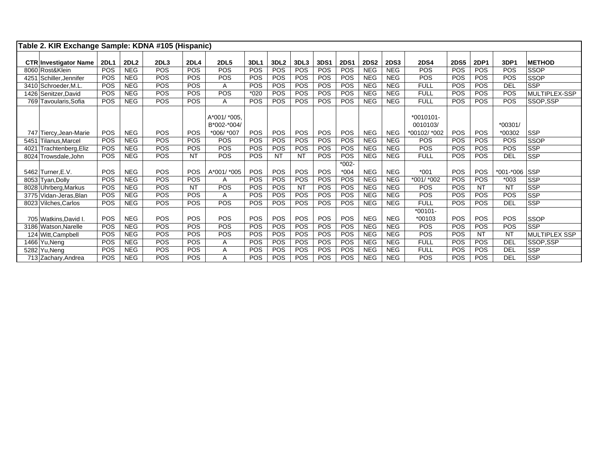| Table 2. KIR Exchange Sample: KDNA #105 (Hispanic) |             |             |                  |             |              |             |                  |            |            |             |             |             |             |             |             |               |                      |
|----------------------------------------------------|-------------|-------------|------------------|-------------|--------------|-------------|------------------|------------|------------|-------------|-------------|-------------|-------------|-------------|-------------|---------------|----------------------|
|                                                    |             |             |                  |             |              |             |                  |            |            |             |             |             |             |             |             |               |                      |
| <b>CTR Investigator Name</b>                       | <b>2DL1</b> | <b>2DL2</b> | 2DL <sub>3</sub> | <b>2DL4</b> | <b>2DL5</b>  | <b>3DL1</b> | 3DL <sub>2</sub> | 3DL3       | 3DS1       | <b>2DS1</b> | <b>2DS2</b> | <b>2DS3</b> | <b>2DS4</b> | <b>2DS5</b> | <b>2DP1</b> | 3DP1          | <b>METHOD</b>        |
| 8060 Rost&Klein                                    | POS         | <b>NEG</b>  | POS              | <b>POS</b>  | POS          | <b>POS</b>  | <b>POS</b>       | <b>POS</b> | <b>POS</b> | POS         | <b>NEG</b>  | <b>NEG</b>  | POS         | <b>POS</b>  | <b>POS</b>  | POS           | <b>SSOP</b>          |
| 4251 Schiller, Jennifer                            | POS         | <b>NEG</b>  | POS              | POS         | POS          | POS         | POS              | POS        | POS        | POS         | <b>NEG</b>  | <b>NEG</b>  | POS         | <b>POS</b>  | <b>POS</b>  | POS           | <b>SSOP</b>          |
| 3410 Schroeder, M.L                                | POS         | <b>NEG</b>  | POS              | <b>POS</b>  | A            | POS         | <b>POS</b>       | <b>POS</b> | POS        | POS         | <b>NEG</b>  | <b>NEG</b>  | <b>FULL</b> | <b>POS</b>  | <b>POS</b>  | <b>DEL</b>    | <b>SSP</b>           |
| 1426 Senitzer David                                | POS         | <b>NEG</b>  | POS              | POS         | POS          | $*020$      | <b>POS</b>       | <b>POS</b> | <b>POS</b> | POS         | <b>NEG</b>  | <b>NEG</b>  | <b>FULL</b> | <b>POS</b>  | <b>POS</b>  | POS           | MULTIPLEX-SSP        |
| 769 Tavoularis, Sofia                              | <b>POS</b>  | <b>NEG</b>  | POS              | <b>POS</b>  | Α            | <b>POS</b>  | <b>POS</b>       | <b>POS</b> | <b>POS</b> | POS         | <b>NEG</b>  | <b>NEG</b>  | <b>FULL</b> | <b>POS</b>  | <b>POS</b>  | <b>POS</b>    | SSOP.SSP             |
|                                                    |             |             |                  |             |              |             |                  |            |            |             |             |             |             |             |             |               |                      |
|                                                    |             |             |                  |             | A*001/ *005. |             |                  |            |            |             |             |             | $*0010101-$ |             |             |               |                      |
|                                                    |             |             |                  |             | B*002-*004/  |             |                  |            |            |             |             |             | 0010103/    |             |             | $*00301/$     |                      |
| 747 Tiercy, Jean-Marie                             | POS         | <b>NEG</b>  | POS              | <b>POS</b>  | *006/ *007   | <b>POS</b>  | <b>POS</b>       | <b>POS</b> | <b>POS</b> | POS         | <b>NEG</b>  | <b>NEG</b>  | *00102/*002 | <b>POS</b>  | <b>POS</b>  | *00302        | <b>SSP</b>           |
| 5451 Tilanus.Marcel                                | POS         | <b>NEG</b>  | POS              | <b>POS</b>  | POS          | POS         | <b>POS</b>       | POS        | <b>POS</b> | POS         | <b>NEG</b>  | <b>NEG</b>  | POS         | <b>POS</b>  | POS         | <b>POS</b>    | <b>SSOP</b>          |
| Trachtenberg, Eliz<br>4021                         | POS         | <b>NEG</b>  | <b>POS</b>       | <b>POS</b>  | POS          | <b>POS</b>  | <b>POS</b>       | <b>POS</b> | POS        | POS         | <b>NEG</b>  | <b>NEG</b>  | POS         | <b>POS</b>  | <b>POS</b>  | POS           | <b>SSP</b>           |
| 8024 Trowsdale, John                               | <b>POS</b>  | <b>NEG</b>  | <b>POS</b>       | <b>NT</b>   | POS          | <b>POS</b>  | <b>NT</b>        | <b>NT</b>  | <b>POS</b> | POS         | <b>NEG</b>  | <b>NEG</b>  | <b>FULL</b> | <b>POS</b>  | <b>POS</b>  | DEL           | <b>SSP</b>           |
|                                                    |             |             |                  |             |              |             |                  |            |            | $*002 -$    |             |             |             |             |             |               |                      |
| 5462 Turner.E.V.                                   | POS         | <b>NEG</b>  | <b>POS</b>       | POS         | A*001/ *005  | POS         | <b>POS</b>       | <b>POS</b> | POS        | $*004$      | <b>NEG</b>  | <b>NEG</b>  | $*001$      | <b>POS</b>  | <b>POS</b>  | *001-*006 SSP |                      |
| 8053 Tyan, Dolly                                   | POS         | <b>NEG</b>  | <b>POS</b>       | <b>POS</b>  | A            | POS         | <b>POS</b>       | POS        | <b>POS</b> | POS         | <b>NEG</b>  | <b>NEG</b>  | *001/ *002  | <b>POS</b>  | POS         | $*003$        | <b>SSP</b>           |
| 8028 Uhrberg, Markus                               | POS         | <b>NEG</b>  | POS              | <b>NT</b>   | POS          | <b>POS</b>  | POS              | <b>NT</b>  | POS        | POS         | <b>NEG</b>  | <b>NEG</b>  | POS         | <b>POS</b>  | <b>NT</b>   | <b>NT</b>     | <b>SSP</b>           |
| 3775 Vidan-Jeras.Blan                              | POS         | <b>NEG</b>  | POS              | <b>POS</b>  | A            | <b>POS</b>  | <b>POS</b>       | <b>POS</b> | POS        | POS         | <b>NEG</b>  | <b>NEG</b>  | POS         | <b>POS</b>  | <b>POS</b>  | POS           | <b>SSP</b>           |
| 8023 Vilches, Carlos                               | <b>POS</b>  | <b>NEG</b>  | POS              | <b>POS</b>  | POS          | <b>POS</b>  | <b>POS</b>       | <b>POS</b> | <b>POS</b> | POS         | <b>NEG</b>  | <b>NEG</b>  | <b>FULL</b> | <b>POS</b>  | <b>POS</b>  | DEL           | <b>SSP</b>           |
|                                                    |             |             |                  |             |              |             |                  |            |            |             |             |             | $*00101-$   |             |             |               |                      |
| 705 Watkins, David I.                              | <b>POS</b>  | <b>NEG</b>  | <b>POS</b>       | <b>POS</b>  | POS          | <b>POS</b>  | <b>POS</b>       | <b>POS</b> | <b>POS</b> | POS         | <b>NEG</b>  | <b>NEG</b>  | $*00103$    | <b>POS</b>  | <b>POS</b>  | POS           | <b>SSOP</b>          |
| 3186 Watson.Narelle                                | POS         | <b>NEG</b>  | POS              | <b>POS</b>  | POS          | POS         | POS              | <b>POS</b> | POS        | POS         | <b>NEG</b>  | <b>NEG</b>  | POS         | <b>POS</b>  | POS         | POS           | <b>SSP</b>           |
| 124 Witt, Campbell                                 | POS         | <b>NEG</b>  | POS              | <b>POS</b>  | POS          | POS         | <b>POS</b>       | POS        | POS        | POS         | <b>NEG</b>  | <b>NEG</b>  | <b>POS</b>  | <b>POS</b>  | <b>NT</b>   | <b>NT</b>     | <b>MULTIPLEX SSP</b> |
| 1466 Yu, Neng                                      | POS         | <b>NEG</b>  | POS              | <b>POS</b>  | Α            | <b>POS</b>  | <b>POS</b>       | <b>POS</b> | <b>POS</b> | POS         | <b>NEG</b>  | <b>NEG</b>  | <b>FULL</b> | <b>POS</b>  | POS         | <b>DEL</b>    | SSOP,SSP             |
| 5282 Yu, Neng                                      | POS         | <b>NEG</b>  | POS              | <b>POS</b>  | Α            | <b>POS</b>  | <b>POS</b>       | <b>POS</b> | POS        | POS         | <b>NEG</b>  | <b>NEG</b>  | <b>FULL</b> | <b>POS</b>  | <b>POS</b>  | <b>DEL</b>    | <b>SSP</b>           |
| 713 Zachary, Andrea                                | POS         | <b>NEG</b>  | POS              | <b>POS</b>  | A            | POS         | <b>POS</b>       | <b>POS</b> | POS        | POS         | <b>NEG</b>  | <b>NEG</b>  | POS         | <b>POS</b>  | <b>POS</b>  | <b>DEL</b>    | <b>SSP</b>           |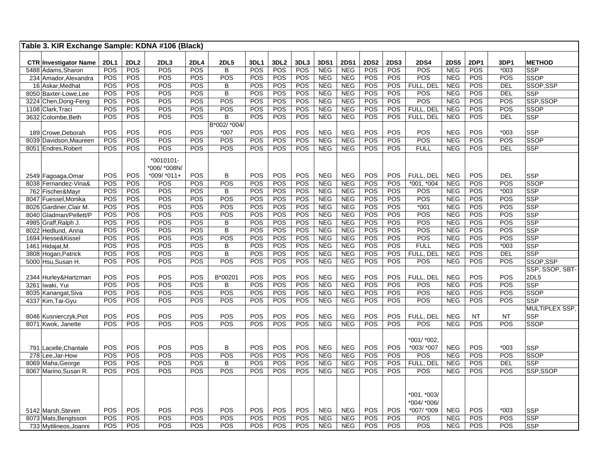| Table 3. KIR Exchange Sample: KDNA #106 (Black)    |                    |            |                         |                    |                               |                           |                         |             |                    |                           |                    |                    |                    |                           |             |                |                             |
|----------------------------------------------------|--------------------|------------|-------------------------|--------------------|-------------------------------|---------------------------|-------------------------|-------------|--------------------|---------------------------|--------------------|--------------------|--------------------|---------------------------|-------------|----------------|-----------------------------|
|                                                    |                    | 2DL2       |                         |                    |                               |                           |                         |             |                    |                           |                    |                    |                    |                           |             |                |                             |
| <b>CTR Investigator Name</b><br>5488 Adams, Sharon | <b>2DL1</b><br>POS | POS        | 2DL <sub>3</sub><br>POS | <b>2DL4</b><br>POS | <b>2DL5</b><br>$\overline{B}$ | <b>3DL1</b><br><b>POS</b> | 3DL <sub>2</sub><br>POS | 3DL3<br>POS | 3DS1<br><b>NEG</b> | <b>2DS1</b><br><b>NEG</b> | <b>2DS2</b><br>POS | <b>2DS3</b><br>POS | <b>2DS4</b><br>POS | <b>2DS5</b><br><b>NEG</b> | 2DP1<br>POS | 3DP1<br>$*003$ | <b>METHOD</b><br><b>SSP</b> |
| 234 Amador, Alexandra                              | POS                | POS        | POS                     | POS                | POS                           | POS                       | POS                     | POS         | <b>NEG</b>         | <b>NEG</b>                | <b>POS</b>         | POS                | POS                | <b>NEG</b>                | POS         | POS            | <b>SSOP</b>                 |
| 16 Askar, Medhat                                   | POS                | POS        | POS                     | POS                | В                             | POS                       | POS                     | POS         | <b>NEG</b>         | <b>NEG</b>                | POS                | POS                | FULL, DEL          | <b>NEG</b>                | POS         | <b>DEL</b>     | SSOP.SSP                    |
| 8050 Baxter-Lowe, Lee                              | POS                | POS        | POS                     | POS                | $\overline{B}$                | POS                       | POS                     | POS         | <b>NEG</b>         | <b>NEG</b>                | POS                | POS                | POS                | <b>NEG</b>                | POS         | DEL            | <b>SSP</b>                  |
| 3224 Chen, Dong-Feng                               | POS                | <b>POS</b> | POS                     | <b>POS</b>         | POS                           | POS                       | POS                     | POS         | <b>NEG</b>         | <b>NEG</b>                | <b>POS</b>         | POS                | POS                | <b>NEG</b>                | POS         | POS            | SSP,SSOP                    |
| 1108 Clark, Traci                                  | POS                | POS        | POS                     | POS                | POS                           | POS                       | POS                     | POS         | <b>NEG</b>         | <b>NEG</b>                | <b>POS</b>         | <b>POS</b>         | FULL, DEL          | <b>NEG</b>                | <b>POS</b>  | POS            | <b>SSOP</b>                 |
| 3632 Colombe, Beth                                 | POS                | POS        | <b>POS</b>              | <b>POS</b>         | $\overline{\mathsf{B}}$       | <b>POS</b>                | POS                     | POS         | <b>NEG</b>         | <b>NEG</b>                | POS                | POS                | FULL, DEL          | <b>NEG</b>                | <b>POS</b>  | <b>DEL</b>     | <b>SSP</b>                  |
|                                                    |                    |            |                         |                    | B*002/ *004/                  |                           |                         |             |                    |                           |                    |                    |                    |                           |             |                |                             |
| 189 Crowe.Deborah                                  | POS                | POS        | POS                     | POS                | *007                          | POS                       | POS                     | POS         | NEG                | <b>NEG</b>                | <b>POS</b>         | POS                | POS                | <b>NEG</b>                | <b>POS</b>  | $*003$         | <b>SSP</b>                  |
| 8039 Davidson, Maureen                             | POS                | POS        | POS                     | POS                | POS                           | POS                       | POS                     | POS         | <b>NEG</b>         | <b>NEG</b>                | POS                | POS                | POS                | <b>NEG</b>                | POS         | <b>POS</b>     | <b>SSOP</b>                 |
| 8051 Endres, Robert                                | <b>POS</b>         | POS        | POS                     | POS                | POS                           | POS                       | POS                     | POS         | <b>NEG</b>         | <b>NEG</b>                | <b>POS</b>         | POS                | <b>FULL</b>        | <b>NEG</b>                | POS         | <b>DEL</b>     | <b>SSP</b>                  |
|                                                    |                    |            |                         |                    |                               |                           |                         |             |                    |                           |                    |                    |                    |                           |             |                |                             |
|                                                    |                    |            | $*0010101-$             |                    |                               |                           |                         |             |                    |                           |                    |                    |                    |                           |             |                |                             |
|                                                    |                    |            | *006/*008N/             |                    |                               |                           |                         |             |                    |                           |                    |                    |                    |                           |             |                |                             |
| 2549 Fagoaga, Omar                                 | POS                | POS        | *009/ *011+             | POS                | B                             | POS                       | POS                     | POS         | <b>NEG</b>         | <b>NEG</b>                | POS                | POS                | FULL, DEL          | <b>NEG</b>                | <b>POS</b>  | <b>DEL</b>     | <b>SSP</b>                  |
| 8038 Fernandez-Vina&                               | POS                | POS        | <b>POS</b>              | POS                | POS                           | POS                       | POS                     | POS         | <b>NEG</b>         | <b>NEG</b>                | POS                | POS                | $*001, *004$       | <b>NEG</b>                | POS         | POS            | <b>SSOP</b>                 |
| 762 Fischer&Mayr                                   | POS                | POS        | POS                     | POS                | $\overline{B}$                | POS                       | POS                     | POS         | <b>NEG</b>         | <b>NEG</b>                | POS                | POS                | <b>POS</b>         | <b>NEG</b>                | POS         | $*003$         | <b>SSP</b>                  |
| 8047 Fuessel, Monika                               | <b>POS</b>         | POS        | POS                     | <b>POS</b>         | POS                           | POS                       | POS                     | POS         | <b>NEG</b>         | <b>NEG</b>                | POS                | POS                | POS                | <b>NEG</b>                | POS         | POS            | <b>SSP</b>                  |
| 8026 Gardiner, Clair M.                            | POS                | POS        | POS                     | POS                | POS                           | POS                       | POS                     | POS         | <b>NEG</b>         | <b>NEG</b>                | POS                | POS                | $*001$             | <b>NEG</b>                | POS         | POS            | <b>SSP</b>                  |
| 8040 Gladman/Pellett/P                             | <b>POS</b>         | POS        | POS                     | <b>POS</b>         | POS                           | <b>POS</b>                | POS                     | POS         | <b>NEG</b>         | <b>NEG</b>                | POS                | POS                | POS                | <b>NEG</b>                | POS         | POS            | <b>SSP</b>                  |
| 4985 Graff, Ralph J.                               | POS                | POS        | POS                     | POS                | $\sf B$                       | POS                       | POS                     | POS         | <b>NEG</b>         | <b>NEG</b>                | POS                | POS                | POS                | <b>NEG</b>                | POS         | POS            | <b>SSP</b>                  |
| 8022 Hedlund, Anna                                 | POS                | POS        | POS                     | POS                | $\overline{B}$                | POS                       | POS                     | POS         | <b>NEG</b>         | <b>NEG</b>                | POS                | POS                | POS                | <b>NEG</b>                | POS         | POS            | <b>SSP</b>                  |
| 1694 Hesse&Kissel                                  | POS                | POS        | POS                     | POS                | POS                           | POS                       | POS                     | POS         | <b>NEG</b>         | <b>NEG</b>                | <b>POS</b>         | POS                | POS                | <b>NEG</b>                | POS         | POS            | <b>SSP</b>                  |
| 1461 Hidajat, M.                                   | POS                | POS        | POS                     | POS                | B                             | POS                       | POS                     | POS         | <b>NEG</b>         | <b>NEG</b>                | POS                | POS                | <b>FULL</b>        | <b>NEG</b>                | POS         | $*003$         | <b>SSP</b>                  |
| 3808 Hogan, Patrick                                | POS                | POS        | POS                     | POS                | B                             | POS                       | POS                     | POS         | <b>NEG</b>         | <b>NEG</b>                | POS                | POS                | FULL, DEL          | <b>NEG</b>                | POS         | <b>DEL</b>     | <b>SSP</b>                  |
| 5000 Hsu, Susan H.                                 | POS                | POS        | POS                     | POS                | POS                           | POS                       | POS                     | POS         | <b>NEG</b>         | <b>NEG</b>                | POS                | POS                | <b>POS</b>         | <b>NEG</b>                | POS         | POS            | SSOP,SSP                    |
|                                                    |                    |            |                         |                    |                               |                           |                         |             |                    |                           |                    |                    |                    |                           |             |                | SSP, SSOP, SBT-             |
| 2344 Hurley& Hartzman                              | POS                | POS        | POS                     | POS                | B*00201                       | POS                       | POS                     | POS         | <b>NEG</b>         | <b>NEG</b>                | POS                | POS                | FULL, DEL          | <b>NEG</b>                | <b>POS</b>  | POS            | 2DL5                        |
| 3261 Iwaki, Yui                                    | POS                | <b>POS</b> | POS                     | POS                | B                             | POS                       | POS                     | POS         | <b>NEG</b>         | <b>NEG</b>                | <b>POS</b>         | <b>POS</b>         | POS                | <b>NEG</b>                | POS         | <b>POS</b>     | <b>SSP</b>                  |
| 8035 Kanangat, Siva                                | POS                | POS        | POS                     | POS                | POS                           | POS                       | POS                     | POS         | <b>NEG</b>         | <b>NEG</b>                | POS                | POS                | POS                | <b>NEG</b>                | <b>POS</b>  | POS            | <b>SSOP</b>                 |
| 4337 Kim, Tai-Gyu                                  | POS                | POS        | POS                     | POS                | POS                           | POS                       | POS                     | POS         | <b>NEG</b>         | <b>NEG</b>                | POS                | POS                | POS                | <b>NEG</b>                | <b>POS</b>  | <b>POS</b>     | <b>SSP</b>                  |
|                                                    |                    |            |                         |                    |                               |                           |                         |             |                    |                           |                    |                    |                    |                           |             |                | MULTIPLEX SSP,              |
| 8046 Kusnierczyk, Piot                             | POS                | POS        | POS                     | POS                | POS                           | POS                       | POS                     | POS         | <b>NEG</b>         | <b>NEG</b>                | <b>POS</b>         | <b>POS</b>         | FULL, DEL          | <b>NEG</b>                | <b>NT</b>   | <b>NT</b>      | <b>SSP</b>                  |
| 8071 Kwok, Janette                                 | POS                | POS        | POS                     | POS                | POS                           | POS                       | POS                     | POS         | <b>NEG</b>         | <b>NEG</b>                | <b>POS</b>         | POS                | <b>POS</b>         | <b>NEG</b>                | <b>POS</b>  | POS            | <b>SSOP</b>                 |
|                                                    |                    |            |                         |                    |                               |                           |                         |             |                    |                           |                    |                    |                    |                           |             |                |                             |
|                                                    |                    |            |                         |                    |                               |                           |                         |             |                    |                           |                    |                    | *001/ *002,        |                           |             |                |                             |
| 791 Lacelle. Chantale                              | POS                | POS        | POS                     | POS                | B                             | POS                       | POS                     | POS         | <b>NEG</b>         | <b>NEG</b>                | POS                | POS                | *003/ *007         | <b>NEG</b>                | <b>POS</b>  | $*003$         | <b>SSP</b>                  |
| 278 Lee, Jar-How                                   | POS                | POS        | POS                     | POS                | POS                           | POS                       | POS                     | POS         | <b>NEG</b>         | <b>NEG</b>                | <b>POS</b>         | POS                | <b>POS</b>         | <b>NEG</b>                | POS         | POS            | <b>SSOP</b>                 |
| 8069 Maha, George                                  | POS                | POS        | POS                     | POS                | $\sf B$                       | POS                       | POS                     | POS         | <b>NEG</b>         | <b>NEG</b>                | POS                | <b>POS</b>         | FULL, DEL          | <b>NEG</b>                | POS         | DEL            | <b>SSP</b>                  |
| 8067 Marino, Susan R.                              | POS                | POS        | POS                     | POS                | POS                           | POS                       | POS                     | POS         | <b>NEG</b>         | <b>NEG</b>                | <b>POS</b>         | POS                | <b>POS</b>         | <b>NEG</b>                | <b>POS</b>  | POS            | SSP,SSOP                    |
|                                                    |                    |            |                         |                    |                               |                           |                         |             |                    |                           |                    |                    |                    |                           |             |                |                             |
|                                                    |                    |            |                         |                    |                               |                           |                         |             |                    |                           |                    |                    |                    |                           |             |                |                             |
|                                                    |                    |            |                         |                    |                               |                           |                         |             |                    |                           |                    |                    | *001. *003/        |                           |             |                |                             |
|                                                    |                    |            |                         |                    |                               |                           |                         |             |                    |                           |                    |                    | *004/ *006/        |                           |             |                |                             |
| 5142 Marsh, Steven                                 | POS                | POS        | POS                     | POS                | POS                           | POS                       | POS                     | POS         | <b>NEG</b>         | <b>NEG</b>                | <b>POS</b>         | <b>POS</b>         | *007/ *009         | <b>NEG</b>                | POS         | $*003$         | <b>SSP</b>                  |
| 8073 Mats, Bengtsson                               | POS                | POS        | POS                     | POS                | POS                           | POS                       | POS                     | POS         | <b>NEG</b>         | <b>NEG</b>                | POS                | POS                | <b>POS</b>         | <b>NEG</b>                | <b>POS</b>  | POS            | <b>SSP</b>                  |
| 733 Mytilineos, Joanni                             | <b>POS</b>         | <b>POS</b> | POS                     | <b>POS</b>         | POS                           | <b>POS</b>                | POS                     | POS         | <b>NEG</b>         | <b>NEG</b>                | <b>POS</b>         | <b>POS</b>         | POS                | <b>NEG</b>                | <b>POS</b>  | <b>POS</b>     | <b>SSP</b>                  |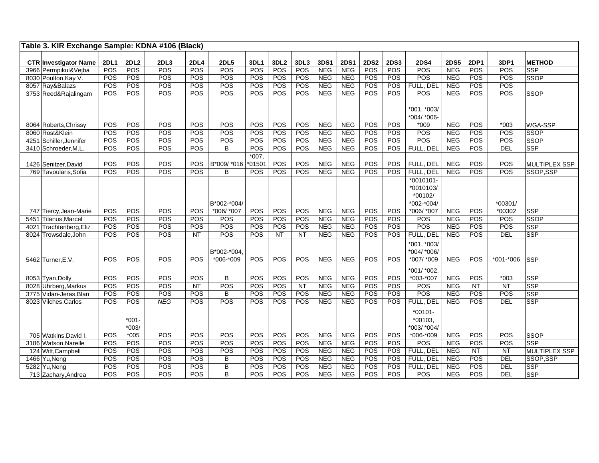| Table 3. KIR Exchange Sample: KDNA #106 (Black) |                   |                     |                   |                    |                          |                   |                         |            |                          |                          |                    |                    |                                          |                          |                          |               |                           |
|-------------------------------------------------|-------------------|---------------------|-------------------|--------------------|--------------------------|-------------------|-------------------------|------------|--------------------------|--------------------------|--------------------|--------------------|------------------------------------------|--------------------------|--------------------------|---------------|---------------------------|
|                                                 |                   |                     |                   |                    |                          |                   |                         |            |                          |                          |                    |                    |                                          |                          |                          |               |                           |
| <b>CTR Investigator Name</b>                    | <b>2DL1</b>       | 2DL2                | 2DL3<br>POS       | <b>2DL4</b><br>POS | <b>2DL5</b><br>POS       | 3DL1              | 3DL <sub>2</sub><br>POS | 3DL3       | 3DS1<br><b>NEG</b>       | <b>2DS1</b>              | <b>2DS2</b><br>POS | <b>2DS3</b><br>POS | <b>2DS4</b><br>POS                       | <b>2DS5</b>              | <b>2DP1</b>              | 3DP1          | <b>METHOD</b>             |
| 3966 Permpikul&Vejba                            | POS               | POS                 |                   |                    |                          | POS               |                         | POS        |                          | <b>NEG</b>               |                    |                    |                                          | <b>NEG</b>               | POS                      | POS           | <b>SSP</b>                |
| 8030 Poulton, Kay V.                            | POS               | POS                 | POS               | POS                | POS                      | POS               | POS                     | POS        | <b>NEG</b>               | <b>NEG</b>               | POS                | POS                | POS                                      | <b>NEG</b>               | <b>POS</b>               | POS           | <b>SSOP</b>               |
| 8057 Ray&Balazs                                 | POS               | POS                 | POS               | POS                | POS                      | POS               | POS                     | POS        | <b>NEG</b>               | <b>NEG</b>               | POS                | POS                | FULL, DEL                                | <b>NEG</b>               | POS                      | POS           |                           |
| 3753 Reed&Rajalingam                            | POS               | POS                 | POS               | POS                | POS                      | POS               | POS                     | POS        | <b>NEG</b>               | <b>NEG</b>               | POS                | POS                | POS                                      | <b>NEG</b>               | POS                      | POS           | <b>SSOP</b>               |
|                                                 | POS               | POS                 | POS               | POS                | POS                      | POS               | POS                     | POS        | <b>NEG</b>               | <b>NEG</b>               | POS                | POS                | $*001.*003/$<br>*004/ *006-<br>$*009$    | <b>NEG</b>               | POS                      | $*003$        | WGA-SSP                   |
| 8064 Roberts, Chrissy<br>8060 Rost&Klein        | POS               | POS                 | POS               | POS                | POS                      | POS               | POS                     | POS        | NEG                      | <b>NEG</b>               | POS                | POS                | POS                                      | <b>NEG</b>               | POS                      | POS           |                           |
|                                                 |                   |                     |                   |                    |                          |                   |                         |            |                          |                          |                    |                    |                                          |                          |                          |               | <b>SSOP</b>               |
| 4251 Schiller, Jennifer                         | POS               | POS                 | POS               | POS                | POS                      | POS               | POS                     | POS        | NEG                      | <b>NEG</b>               | POS                | <b>POS</b>         | POS                                      | <b>NEG</b>               | <b>POS</b>               | POS           | SSOP                      |
| 3410 Schroeder, M.L.                            | POS               | POS                 | POS               | POS                | B                        | POS               | POS                     | POS        | NEG                      | <b>NEG</b>               | POS                | POS                | FULL, DEL                                | <b>NEG</b>               | POS                      | <b>DEL</b>    | <b>SSP</b>                |
| 1426 Senitzer, David                            | POS               | POS                 | POS               | POS                | B*009/ *016              | $*007,$<br>*01501 | POS                     | POS        | <b>NEG</b>               | <b>NEG</b>               | POS                | POS                | FULL, DEL                                | <b>NEG</b>               | POS                      | POS           | <b>MULTIPLEX SSP</b>      |
| 769 Tavoularis, Sofia                           | POS               | POS                 | POS               | POS                | B                        | POS               | POS                     | POS        | <b>NEG</b>               | <b>NEG</b>               | POS                | POS                | FULL, DEL                                | <b>NEG</b>               | POS                      | POS           | SSOP,SSP                  |
|                                                 |                   |                     |                   |                    |                          |                   |                         |            |                          |                          |                    |                    | $*0010101-$<br>*0010103/<br>*00102/      |                          |                          |               |                           |
|                                                 |                   |                     |                   |                    | B*002-*004/              |                   |                         |            |                          |                          |                    |                    | *002-*004/                               |                          |                          | *00301/       |                           |
| 747 Tiercy, Jean-Marie                          | <b>POS</b><br>POS | <b>POS</b><br>POS   | <b>POS</b><br>POS | POS<br>POS         | *006/ *007<br>POS        | <b>POS</b><br>POS | <b>POS</b><br>POS       | POS<br>POS | <b>NEG</b><br><b>NEG</b> | <b>NEG</b><br><b>NEG</b> | <b>POS</b><br>POS  | POS<br>POS         | *006/ *007<br><b>POS</b>                 | <b>NEG</b><br><b>NEG</b> | <b>POS</b><br><b>POS</b> | *00302<br>POS | <b>SSP</b><br><b>SSOP</b> |
| 5451 Tilanus, Marcel                            |                   |                     | POS               |                    |                          |                   | POS                     | POS        |                          |                          |                    |                    | POS                                      | <b>NEG</b>               |                          | POS           | <b>SSP</b>                |
| 4021 Trachtenberg, Eliz                         | POS<br>POS        | POS<br>POS          | POS               | POS<br><b>NT</b>   | POS<br>POS               | POS<br>POS        | NT                      | NT         | <b>NEG</b><br><b>NEG</b> | <b>NEG</b><br><b>NEG</b> | POS<br>POS         | POS<br>POS         | FULL, DEL                                | <b>NEG</b>               | POS<br>POS               | <b>DEL</b>    | <b>SSP</b>                |
| 8024 Trowsdale, John<br>5462 Turner, E.V.       | <b>POS</b>        | POS                 | POS               | <b>POS</b>         | B*002-*004.<br>*006-*009 | POS               | POS                     | POS        | <b>NEG</b>               | <b>NEG</b>               | POS                | POS                | *001, *003/<br>*004/ *006/<br>*007/ *009 | <b>NEG</b>               | POS                      | $*001 * 006$  | <b>SSP</b>                |
| 8053 Tyan, Dolly                                | POS               | POS                 | POS               | POS                | B                        | POS               | POS                     | POS        | <b>NEG</b>               | <b>NEG</b>               | POS                | POS                | *001/ *002,<br>*003-*007                 | <b>NEG</b>               | POS                      | $*003$        | <b>SSP</b>                |
| 8028 Uhrberg, Markus                            | POS               | POS                 | POS               | <b>NT</b>          | POS                      | POS               | POS                     | <b>NT</b>  | NEG                      | <b>NEG</b>               | POS                | POS                | POS                                      | <b>NEG</b>               | <b>NT</b>                | NT            | <b>SSP</b>                |
| 3775 Vidan-Jeras, Blan                          | POS               | POS                 | POS               | POS                | B                        | POS               | POS                     | POS        | <b>NEG</b>               | <b>NEG</b>               | POS                | POS                | POS                                      | <b>NEG</b>               | POS                      | POS           | <b>SSP</b>                |
| 8023 Vilches, Carlos                            | POS               | POS                 | <b>NEG</b>        | POS                | POS                      | POS               | POS                     | POS        | <b>NEG</b>               | <b>NEG</b>               | POS                | POS                | FULL, DEL                                | <b>NEG</b>               | POS                      | DEL           | <b>SSP</b>                |
|                                                 |                   | $*001 -$<br>$*003/$ |                   |                    |                          |                   |                         |            |                          |                          |                    |                    | $*00101 -$<br>*00103,<br>*003/ *004/     |                          |                          |               |                           |
| 705 Watkins, David I.                           | POS               | $*005$              | POS               | POS                | POS                      | POS               | POS                     | POS        | <b>NEG</b>               | <b>NEG</b>               | POS                | POS                | *006-*009                                | <b>NEG</b>               | <b>POS</b>               | POS           | <b>SSOP</b>               |
| 3186 Watson, Narelle                            | POS               | POS                 | POS               | POS                | POS                      | POS               | POS                     | POS        | <b>NEG</b>               | <b>NEG</b>               | POS                | POS                | <b>POS</b>                               | <b>NEG</b>               | <b>POS</b>               | POS           | <b>SSP</b>                |
| 124 Witt, Campbell                              | POS               | POS                 | POS               | POS                | POS                      | POS               | POS                     | POS        | <b>NEG</b>               | <b>NEG</b>               | POS                | POS                | FULL, DEL                                | <b>NEG</b>               | <b>NT</b>                | <b>NT</b>     | <b>MULTIPLEX SSP</b>      |
| 1466 Yu, Neng                                   | POS               | POS                 | POS               | POS                | B                        | POS               | POS                     | POS        | <b>NEG</b>               | <b>NEG</b>               | POS                | POS                | FULL, DEL                                | <b>NEG</b>               | <b>POS</b>               | <b>DEL</b>    | SSOP,SSP                  |
| $\overline{5282}$ Yu, Neng                      | POS               | POS                 | POS               | POS                | B                        | POS               | POS                     | POS        | <b>NEG</b>               | <b>NEG</b>               | POS                | POS                | FULL, DEL                                | <b>NEG</b>               | POS                      | <b>DEL</b>    | <b>SSP</b>                |
| 713 Zachary, Andrea                             | POS               | POS                 | POS               | POS                | B                        | POS               | POS                     | POS        | <b>NEG</b>               | <b>NEG</b>               | POS                | POS                | POS                                      | <b>NEG</b>               | POS                      | <b>DEL</b>    | <b>SSP</b>                |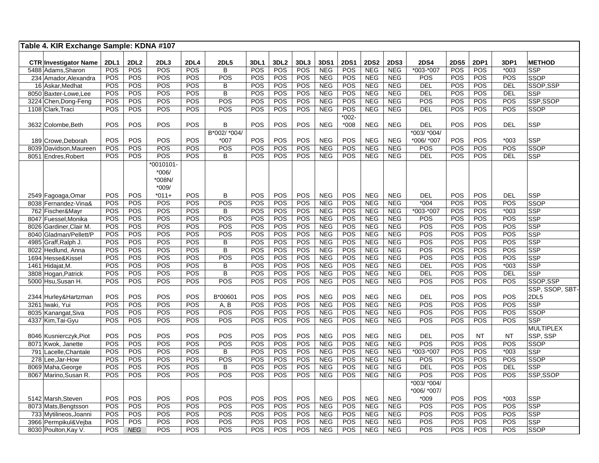| Table 4. KIR Exchange Sample: KDNA #107 |             |             |            |             |                |                   |                  |            |                          |             |                          |                          |                  |                   |             |                  |                           |
|-----------------------------------------|-------------|-------------|------------|-------------|----------------|-------------------|------------------|------------|--------------------------|-------------|--------------------------|--------------------------|------------------|-------------------|-------------|------------------|---------------------------|
| <b>CTR Investigator Name</b>            | <b>2DL1</b> | <b>2DL2</b> | 2DL3       | <b>2DL4</b> | <b>2DL5</b>    | 3DL1              | 3DL <sub>2</sub> | 3DL3       | 3DS1                     | <b>2DS1</b> | <b>2DS2</b>              | <b>2DS3</b>              | <b>2DS4</b>      | <b>2DS5</b>       | <b>2DP1</b> | 3DP1             | <b>METHOD</b>             |
| 5488 Adams, Sharon                      | <b>POS</b>  | <b>POS</b>  | POS        | POS         | В              | POS               | POS              | POS        | <b>NEG</b>               | POS         | <b>NEG</b>               | <b>NEG</b>               | $*003 - *007$    | POS               | POS         | $*003$           | <b>SSP</b>                |
| 234 Amador, Alexandra                   | POS         | POS         | POS        | POS         | POS            | <b>POS</b>        | POS              | POS        | <b>NEG</b>               | POS         | <b>NEG</b>               | <b>NEG</b>               | <b>POS</b>       | POS               | POS         | POS              | <b>SSOP</b>               |
| 16 Askar, Medhat                        | <b>POS</b>  | POS         | POS        | <b>POS</b>  | В              | <b>POS</b>        | <b>POS</b>       | <b>POS</b> | <b>NEG</b>               | <b>POS</b>  | <b>NEG</b>               | <b>NEG</b>               | DEL              | <b>POS</b>        | POS         | DEL              | SSOP,SSP                  |
| 8050 Baxter-Lowe, Lee                   | POS         | POS         | POS        | POS         | B              | POS               | POS              | POS        | <b>NEG</b>               | POS         | <b>NEG</b>               | <b>NEG</b>               | <b>DEL</b>       | POS               | POS         | <b>DEL</b>       | <b>SSP</b>                |
| 3224 Chen, Dong-Feng                    | POS         | <b>POS</b>  | POS        | POS         | POS            | <b>POS</b>        | <b>POS</b>       | <b>POS</b> | <b>NEG</b>               | <b>POS</b>  | <b>NEG</b>               | <b>NEG</b>               | POS              | POS               | <b>POS</b>  | <b>POS</b>       | SSP,SSOP                  |
| 1108 Clark, Traci                       | POS         | POS         | POS        | POS         | POS            | POS               | POS              | POS        | <b>NEG</b>               | POS         | <b>NEG</b>               | <b>NEG</b>               | <b>DEL</b>       | POS               | POS         | POS              | <b>SSOP</b>               |
|                                         |             |             |            |             |                |                   |                  |            |                          | *002-       |                          |                          |                  |                   |             |                  |                           |
| 3632 Colombe, Beth                      | POS         | POS         | POS        | POS         | B              | <b>POS</b>        | POS              | POS        | <b>NEG</b>               | $*008$      | <b>NEG</b>               | <b>NEG</b>               | <b>DEL</b>       | POS               | POS         | <b>DEL</b>       | SSP                       |
|                                         |             |             |            |             | B*002/ *004/   |                   |                  |            |                          |             |                          |                          | *003/ *004/      |                   |             |                  |                           |
| 189 Crowe, Deborah                      | <b>POS</b>  | POS         | POS        | POS         | *007           | <b>POS</b>        | POS              | POS        | <b>NEG</b>               | POS         | <b>NEG</b>               | <b>NEG</b>               | *006/ *007       | POS               | POS         | $*003$           | <b>SSP</b>                |
| 8039 Davidson, Maureen                  | POS         | POS         | POS        | POS         | POS            | POS               | POS              | POS        | <b>NEG</b>               | POS         | <b>NEG</b>               | <b>NEG</b>               | <b>POS</b>       | POS               | POS         | <b>POS</b>       | SSOP                      |
| 8051 Endres, Robert                     | POS         | POS         | POS        | POS         | B              | POS               | POS              | POS        | <b>NEG</b>               | POS         | <b>NEG</b>               | <b>NEG</b>               | <b>DEL</b>       | POS               | POS         | <b>DEL</b>       | <b>SSP</b>                |
|                                         |             |             | *0010101-  |             |                |                   |                  |            |                          |             |                          |                          |                  |                   |             |                  |                           |
|                                         |             |             | *006/      |             |                |                   |                  |            |                          |             |                          |                          |                  |                   |             |                  |                           |
|                                         |             |             | *008N/     |             |                |                   |                  |            |                          |             |                          |                          |                  |                   |             |                  |                           |
|                                         |             |             | *009/      |             |                |                   |                  |            |                          |             |                          |                          |                  |                   |             |                  |                           |
| 2549 Fagoaga, Omar                      | POS         | POS         | $*011+$    | POS         | B              | POS               | POS              | POS        | <b>NEG</b>               | <b>POS</b>  | <b>NEG</b>               | <b>NEG</b>               | <b>DEL</b>       | POS               | POS         | <b>DEL</b>       | <b>SSP</b>                |
| 8038 Fernandez-Vina&                    | POS         | POS         | POS        | POS         | POS            | POS               | POS              | POS        | <b>NEG</b>               | POS         | <b>NEG</b>               | <b>NEG</b>               | $*004$           | POS               | POS         | POS              | SSOP                      |
| 762 Fischer&Mayr                        | POS         | POS         | POS        | POS         | B              | POS               | <b>POS</b>       | POS        | <b>NEG</b>               | POS         | <b>NEG</b>               | <b>NEG</b>               | *003-*007        | <b>POS</b>        | POS         | $*003$           | <b>SSP</b>                |
| 8047 Fuessel, Monika                    | POS         | POS         | POS        | POS         | POS            | POS               | POS              | POS        | <b>NEG</b>               | POS         | <b>NEG</b>               | <b>NEG</b>               | <b>POS</b>       | POS               | POS         | POS              | <b>SSP</b>                |
| 8026 Gardiner, Clair M.                 | <b>POS</b>  | <b>POS</b>  | POS        | POS         | POS            | <b>POS</b>        | <b>POS</b>       | <b>POS</b> | <b>NEG</b>               | POS         | <b>NEG</b>               | <b>NEG</b>               | $\overline{POS}$ | <b>POS</b>        | <b>POS</b>  | $\overline{POS}$ | SSP                       |
| 8040 Gladman/Pellett/P                  | POS         | POS         | POS        | POS         | POS            | POS               | POS              | POS        | <b>NEG</b>               | POS         | <b>NEG</b>               | <b>NEG</b>               | POS              | POS               | POS         | POS              | SSP                       |
| 4985 Graff, Ralph J.                    | <b>POS</b>  | <b>POS</b>  | POS        | POS         | $\overline{B}$ | POS               | <b>POS</b>       | <b>POS</b> | <b>NEG</b>               | POS         | <b>NEG</b>               | <b>NEG</b>               | POS              | <b>POS</b>        | <b>POS</b>  | $\overline{POS}$ | <b>SSP</b>                |
| 8022 Hedlund, Anna                      | POS         | POS         | POS        | POS         | $\overline{B}$ | POS               | POS              | POS        | <b>NEG</b>               | POS         | <b>NEG</b>               | <b>NEG</b>               | POS              | POS               | POS         | POS              | <b>SSP</b>                |
| 1694 Hesse&Kissel                       | POS         | POS         | POS        | POS         | POS            | POS               | POS              | POS        | <b>NEG</b>               | POS         | <b>NEG</b>               | <b>NEG</b>               | $\overline{POS}$ | POS               | POS         | $\overline{POS}$ | <b>SSP</b>                |
| 1461 Hidajat, M.                        | POS         | POS         | POS        | POS         | B              | POS               | POS              | POS        | <b>NEG</b>               | POS         | <b>NEG</b>               | <b>NEG</b>               | DEL              | POS               | POS         | $*003$           | <b>SSP</b>                |
| 3808 Hogan, Patrick                     | POS         | POS         | POS        | POS         | $\overline{B}$ | POS               | <b>POS</b>       | POS        | <b>NEG</b>               | POS         | <b>NEG</b>               | <b>NEG</b>               | DEL              | <b>POS</b>        | POS         | DEL              | <b>SSP</b>                |
| 5000 Hsu, Susan H.                      | POS         | POS         | POS        | POS         | POS            | POS               | POS              | POS        | <b>NEG</b>               | POS         | <b>NEG</b>               | <b>NEG</b>               | POS              | POS               | POS         | POS              | SSOP.SSP                  |
|                                         |             |             |            |             |                |                   |                  |            |                          |             |                          |                          |                  |                   |             |                  | SSP, SSOP, SBT-           |
| 2344 Hurley& Hartzman                   | POS         | POS         | POS        | POS         | B*00601        | POS               | POS              | POS        | <b>NEG</b>               | POS         | <b>NEG</b>               | <b>NEG</b>               | <b>DEL</b>       | POS               | POS         | POS              | 2DL5                      |
| 3261 Iwaki, Yui                         | POS         | POS         | POS        | POS         | A, B           | POS               | POS              | POS        | <b>NEG</b>               | POS         | <b>NEG</b>               | <b>NEG</b>               | POS              | POS               | POS         | POS              | <b>SSP</b>                |
| 8035 Kanangat, Siva                     | <b>POS</b>  | <b>POS</b>  | POS        | POS         | POS            | <b>POS</b>        | <b>POS</b>       | <b>POS</b> | <b>NEG</b>               | <b>POS</b>  | <b>NEG</b>               | <b>NEG</b>               | POS              | POS               | <b>POS</b>  | POS              | <b>SSOP</b>               |
| 4337 Kim, Tai-Gyu                       | POS         | POS         | POS        | POS         | POS            | POS               | POS              | POS        | <b>NEG</b>               | POS         | <b>NEG</b>               | <b>NEG</b>               | <b>POS</b>       | POS               | POS         | POS              | <b>SSP</b>                |
|                                         |             |             |            |             |                |                   |                  |            |                          |             |                          |                          |                  |                   |             |                  | <b>MULTIPLEX</b>          |
| 8046 Kusnierczyk, Piot                  | POS         | POS         | POS        | POS         | POS            | POS               | POS              | POS        | <b>NEG</b>               | POS         | <b>NEG</b>               | <b>NEG</b>               | <b>DEL</b>       | POS               | <b>NT</b>   | <b>NT</b>        | SSP, SSP                  |
| 8071 Kwok, Janette                      | POS         | POS         | POS        | POS         | POS            | POS               | POS              | POS        | <b>NEG</b>               | POS         | <b>NEG</b>               | <b>NEG</b>               | POS              | POS               | POS         | POS              | <b>SSOP</b>               |
| 791 Lacelle, Chantale                   | <b>POS</b>  | <b>POS</b>  | <b>POS</b> | <b>POS</b>  | В              | <b>POS</b>        | <b>POS</b>       | <b>POS</b> | <b>NEG</b>               | POS         | <b>NEG</b>               | <b>NEG</b>               | $*003-*007$      | POS               | <b>POS</b>  | $*003$           | <b>SSP</b><br><b>SSOP</b> |
| 278 Lee, Jar-How                        | POS         | POS         | POS        | POS         | POS            | POS               | POS              | POS        | <b>NEG</b>               | POS         | <b>NEG</b>               | <b>NEG</b>               | <b>POS</b>       | POS               | POS         | POS              | <b>SSP</b>                |
| 8069 Maha, George                       | <b>POS</b>  | <b>POS</b>  | <b>POS</b> | <b>POS</b>  | $\overline{B}$ | POS               | POS              | <b>POS</b> | <b>NEG</b>               | POS         | <b>NEG</b>               | <b>NEG</b>               | <b>DEL</b>       | POS               | <b>POS</b>  | DEL              |                           |
| 8067 Marino, Susan R.                   | POS         | POS         | POS        | POS         | POS            | POS               | POS              | POS        | <b>NEG</b>               | POS         | <b>NEG</b>               | <b>NEG</b>               | POS              | POS               | POS         | POS              | SSP,SSOP                  |
|                                         |             |             |            |             |                |                   |                  |            |                          |             |                          |                          | *003/ *004/      |                   |             |                  |                           |
|                                         |             |             |            |             |                |                   |                  |            |                          |             |                          |                          | *006/ *007/      |                   |             |                  | SSP                       |
| 5142 Marsh, Steven                      | POS<br>POS  | POS<br>POS  | POS<br>POS | POS<br>POS  | POS<br>POS     | <b>POS</b><br>POS | POS              | POS        | <b>NEG</b>               | POS         | <b>NEG</b>               | <b>NEG</b>               | $*009$<br>POS    | <b>POS</b><br>POS | POS<br>POS  | $*003$<br>POS    | <b>SSP</b>                |
| 8073 Mats, Bengtsson                    | POS         | POS         | POS        | POS         | POS            | POS               | POS<br>POS       | POS<br>POS | <b>NEG</b><br><b>NEG</b> | POS<br>POS  | <b>NEG</b><br><b>NEG</b> | <b>NEG</b><br><b>NEG</b> | POS              | POS               | POS         | POS              | <b>SSP</b>                |
| 733 Mytilineos, Joanni                  | <b>POS</b>  | <b>POS</b>  | POS        | <b>POS</b>  | POS            | <b>POS</b>        | POS              | <b>POS</b> | <b>NEG</b>               | POS         | <b>NEG</b>               | <b>NEG</b>               | POS              | <b>POS</b>        | <b>POS</b>  | $\overline{POS}$ | <b>SSP</b>                |
| 3966 Permpikul&Vejba                    |             |             |            |             |                |                   |                  |            |                          |             |                          |                          | POS              |                   |             |                  | <b>SSOP</b>               |
| 8030 Poulton, Kay V.                    | POS         | <b>NEG</b>  | POS        | POS         | POS            | POS               | POS              | POS        | <b>NEG</b>               | POS         | <b>NEG</b>               | <b>NEG</b>               |                  | POS               | POS         | POS              |                           |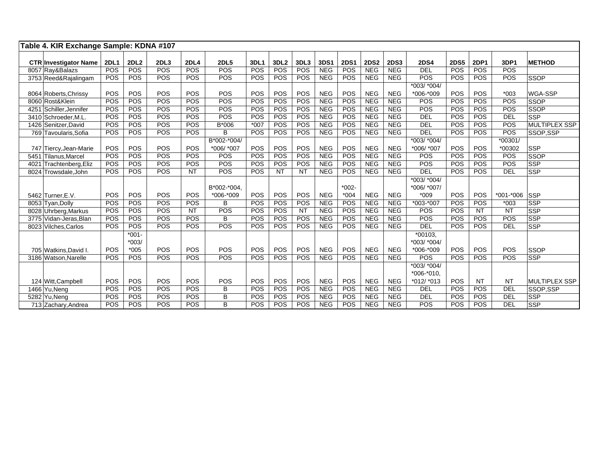|      | Table 4. KIR Exchange Sample: KDNA #107 |             |             |            |             |                  |            |                  |           |            |             |             |             |                   |             |             |               |                      |
|------|-----------------------------------------|-------------|-------------|------------|-------------|------------------|------------|------------------|-----------|------------|-------------|-------------|-------------|-------------------|-------------|-------------|---------------|----------------------|
|      | <b>CTR Investigator Name</b>            | <b>2DL1</b> | <b>2DL2</b> | 2DL3       | <b>2DL4</b> | <b>2DL5</b>      | 3DL1       | 3DL <sub>2</sub> | 3DL3      | 3DS1       | <b>2DS1</b> | <b>2DS2</b> | <b>2DS3</b> | <b>2DS4</b>       | <b>2DS5</b> | <b>2DP1</b> | 3DP1          | <b>METHOD</b>        |
|      | 8057 Ray&Balazs                         | POS         | POS         | <b>POS</b> | POS         | POS              | POS        | POS              | POS       | <b>NEG</b> | POS         | <b>NEG</b>  | NEG         | <b>DEL</b>        | POS         | POS         | POS           |                      |
|      | 3753 Reed&Rajalingam                    | POS         | POS         | POS        | POS         | POS              | POS        | POS              | POS       | <b>NEG</b> | POS         | <b>NEG</b>  | <b>NEG</b>  | POS               | POS         | POS         | POS           | <b>SSOP</b>          |
|      |                                         |             |             |            |             |                  |            |                  |           |            |             |             |             | *003/ *004/       |             |             |               |                      |
|      | 8064 Roberts, Chrissy                   | POS         | POS         | POS        | POS         | POS              | POS        | POS              | POS       | <b>NEG</b> | POS         | <b>NEG</b>  | <b>NEG</b>  | *006-*009         | POS         | POS         | $*003$        | WGA-SSP              |
|      | 8060 Rost&Klein                         | POS         | POS         | POS        | POS         | $\overline{POS}$ | POS        | POS              | POS       | <b>NEG</b> | POS         | <b>NEG</b>  | <b>NEG</b>  | POS               | POS         | POS         | POS           | <b>SSOP</b>          |
|      | 4251 Schiller Jennifer                  | POS         | POS         | POS        | POS         | POS              | POS        | POS              | POS       | <b>NEG</b> | POS         | <b>NEG</b>  | <b>NEG</b>  | POS               | POS         | POS         | POS           | <b>SSOP</b>          |
|      | 3410 Schroeder, M.L.                    | POS         | POS         | POS        | POS         | POS              | POS        | POS              | POS       | <b>NEG</b> | POS         | <b>NEG</b>  | <b>NEG</b>  | <b>DEL</b>        | POS         | POS         | <b>DEL</b>    | <b>SSP</b>           |
|      | 1426 Senitzer David                     | POS         | POS         | POS        | POS         | B*006            | $*007$     | POS              | POS       | <b>NEG</b> | POS         | <b>NEG</b>  | <b>NEG</b>  | <b>DEL</b>        | POS         | POS         | POS           | <b>MULTIPLEX SSP</b> |
|      | 769 Tavoularis, Sofia                   | POS         | POS         | POS        | POS         | B                | POS        | POS              | POS       | <b>NEG</b> | POS         | <b>NEG</b>  | <b>NEG</b>  | <b>DEL</b>        | POS         | POS         | POS           | SSOP,SSP             |
|      |                                         |             |             |            |             | B*002-*004/      |            |                  |           |            |             |             |             | *003/ *004/       |             |             | *00301/       |                      |
|      | 747 Tiercy, Jean-Marie                  | POS         | POS         | POS        | POS         | *006/ *007       | <b>POS</b> | <b>POS</b>       | POS       | <b>NEG</b> | POS         | <b>NEG</b>  | <b>NEG</b>  | *006/ *007        | POS         | POS         | *00302        | <b>SSP</b>           |
|      | 5451 Tilanus, Marcel                    | POS         | POS         | POS        | POS         | POS              | POS        | POS              | POS       | <b>NEG</b> | POS         | <b>NEG</b>  | <b>NEG</b>  | POS               | POS         | POS         | POS           | <b>SSOP</b>          |
| 4021 | Trachtenberg, Eliz                      | POS         | POS         | POS        | POS         | <b>POS</b>       | <b>POS</b> | POS              | POS       | <b>NEG</b> | POS         | <b>NEG</b>  | <b>NEG</b>  | POS               | POS         | POS         | POS           | <b>SSP</b>           |
|      | 8024 Trowsdale, John                    | <b>POS</b>  | POS         | <b>POS</b> | <b>NT</b>   | POS              | POS        | <b>NT</b>        | <b>NT</b> | <b>NEG</b> | POS         | <b>NEG</b>  | <b>NEG</b>  | DEL               | POS         | POS         | DEL           | <b>SSP</b>           |
|      |                                         |             |             |            |             |                  |            |                  |           |            |             |             |             | *003/ *004/       |             |             |               |                      |
|      |                                         |             |             |            |             | B*002-*004.      |            |                  |           |            | $*002 -$    |             |             | *006/ *007/       |             |             |               |                      |
|      | 5462 Turner, E.V.                       | POS         | POS         | POS        | POS         | *006-*009        | <b>POS</b> | <b>POS</b>       | POS       | <b>NEG</b> | $*004$      | <b>NEG</b>  | <b>NEG</b>  | $*009$            | POS         | POS         | $*001 - *006$ | <b>SSP</b>           |
|      | 8053 Tyan, Dolly                        | POS         | POS         | POS        | POS         | B                | POS        | POS              | POS       | <b>NEG</b> | POS         | <b>NEG</b>  | <b>NEG</b>  | *003-*007         | POS         | POS         | $*003$        | <b>SSP</b>           |
|      | 8028 Uhrberg, Markus                    | POS         | POS         | POS        | <b>NT</b>   | POS              | <b>POS</b> | <b>POS</b>       | <b>NT</b> | <b>NEG</b> | POS         | <b>NEG</b>  | <b>NEG</b>  | POS               | POS         | <b>NT</b>   | <b>NT</b>     | <b>SSP</b>           |
|      | 3775 Vidan-Jeras, Blan                  | POS         | POS         | POS        | POS         | B                | POS        | POS              | POS       | <b>NEG</b> | POS         | <b>NEG</b>  | <b>NEG</b>  | POS               | POS         | POS         | POS           | <b>SSP</b>           |
|      | 8023 Vilches, Carlos                    | POS         | POS         | POS        | POS         | POS              | POS        | POS              | POS       | <b>NEG</b> | POS         | <b>NEG</b>  | <b>NEG</b>  | <b>DEL</b>        | POS         | POS         | <b>DEL</b>    | <b>SSP</b>           |
|      |                                         |             | $*001 -$    |            |             |                  |            |                  |           |            |             |             |             | $*00103.$         |             |             |               |                      |
|      |                                         |             | $*003/$     |            |             |                  |            |                  |           |            |             |             |             | *003/ *004/       |             |             |               |                      |
|      | 705 Watkins, David I.                   | POS         | $*005$      | POS        | POS         | POS              | POS        | <b>POS</b>       | POS       | <b>NEG</b> | POS         | <b>NEG</b>  | <b>NEG</b>  | $*006-*009$       | <b>POS</b>  | POS         | POS           | <b>SSOP</b>          |
|      | 3186 Watson.Narelle                     | POS         | POS         | <b>POS</b> | POS         | POS              | <b>POS</b> | POS              | POS       | <b>NEG</b> | POS         | <b>NEG</b>  | <b>NEG</b>  | POS               | POS         | POS         | POS           | <b>SSP</b>           |
|      |                                         |             |             |            |             |                  |            |                  |           |            |             |             |             | $*003$ / $*004$ / |             |             |               |                      |
|      |                                         |             |             |            |             |                  |            |                  |           |            |             |             |             | $*006.*010.$      |             |             |               |                      |
|      | 124 Witt, Campbell                      | POS         | POS         | POS        | POS         | POS              | <b>POS</b> | POS              | POS       | <b>NEG</b> | POS         | <b>NEG</b>  | <b>NEG</b>  | $*012/ *013$      | POS         | <b>NT</b>   | <b>NT</b>     | <b>MULTIPLEX SSP</b> |
|      | 1466 Yu, Neng                           | POS         | POS         | <b>POS</b> | POS         | B                | POS        | POS              | POS       | <b>NEG</b> | POS         | <b>NEG</b>  | <b>NEG</b>  | DEL               | POS         | POS         | <b>DEL</b>    | SSOP,SSP             |
|      | 5282 Yu, Neng                           | POS         | POS         | POS        | POS         | B                | POS        | POS              | POS       | <b>NEG</b> | POS         | <b>NEG</b>  | <b>NEG</b>  | <b>DEL</b>        | POS         | POS         | DEL           | <b>SSP</b>           |
|      | 713 Zachary, Andrea                     | POS         | POS         | POS        | POS         | B                | <b>POS</b> | POS              | POS       | <b>NEG</b> | POS         | <b>NEG</b>  | <b>NEG</b>  | POS               | POS         | POS         | <b>DEL</b>    | <b>SSP</b>           |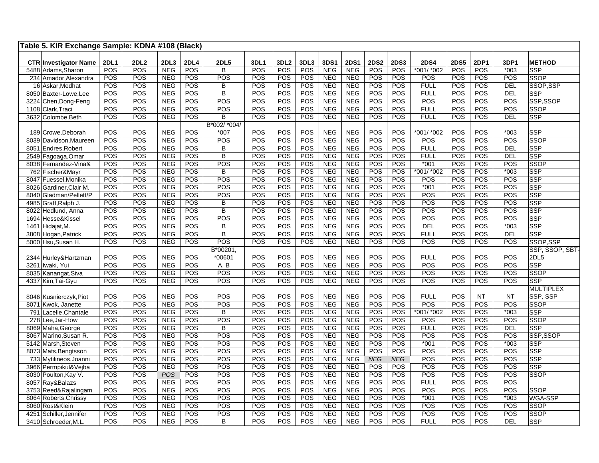| Table 5. KIR Exchange Sample: KDNA #108 (Black) |             |                   |                          |             |                               |            |                   |            |                          |                           |                    |             |                            |                   |             |               |                             |
|-------------------------------------------------|-------------|-------------------|--------------------------|-------------|-------------------------------|------------|-------------------|------------|--------------------------|---------------------------|--------------------|-------------|----------------------------|-------------------|-------------|---------------|-----------------------------|
|                                                 |             |                   |                          |             |                               |            |                   |            |                          |                           |                    |             |                            |                   |             |               |                             |
| <b>CTR Investigator Name</b>                    | <b>2DL1</b> | <b>2DL2</b>       | 2DL3                     | <b>2DL4</b> | <b>2DL5</b><br>$\overline{B}$ | 3DL1       | 3DL <sub>2</sub>  | 3DL3       | 3DS1                     | <b>2DS1</b><br><b>NEG</b> | <b>2DS2</b><br>POS | <b>2DS3</b> | <b>2DS4</b><br>$*001/*002$ | <b>2DS5</b>       | 2DP1<br>POS | 3DP1          | <b>METHOD</b><br><b>SSP</b> |
| 5488 Adams, Sharon                              | POS<br>POS  | <b>POS</b><br>POS | <b>NEG</b><br><b>NEG</b> | POS<br>POS  | POS                           | POS<br>POS | POS<br><b>POS</b> | POS<br>POS | <b>NEG</b><br><b>NEG</b> | <b>NEG</b>                | POS                | POS<br>POS  | POS                        | <b>POS</b><br>POS | POS         | $*003$<br>POS | <b>SSOP</b>                 |
| 234 Amador, Alexandra                           | POS         | POS               | <b>NEG</b>               | POS         | B                             | POS        | <b>POS</b>        | POS        | <b>NEG</b>               | <b>NEG</b>                | POS                | POS         | <b>FULL</b>                | POS               | POS         | DEL           | SSOP.SSP                    |
| 16 Askar, Medhat<br>8050 Baxter-Lowe, Lee       | POS         | POS               | <b>NEG</b>               | POS         | B                             | POS        | POS               | POS        | <b>NEG</b>               | <b>NEG</b>                | POS                | POS         | <b>FULL</b>                | POS               | POS         | <b>DEL</b>    | SSP                         |
| 3224 Chen, Dong-Feng                            | POS         | POS               | <b>NEG</b>               | POS         | POS                           | POS        | <b>POS</b>        | POS        | <b>NEG</b>               | <b>NEG</b>                | POS                | POS         | POS                        | POS               | POS         | POS           | SSP,SSOP                    |
| 1108 Clark, Traci                               | <b>POS</b>  | POS               | <b>NEG</b>               | POS         | POS                           | POS        | <b>POS</b>        | POS        | <b>NEG</b>               | <b>NEG</b>                | POS                | POS         | <b>FULL</b>                | POS               | POS         | POS           | <b>SSOP</b>                 |
| 3632 Colombe, Beth                              | <b>POS</b>  | <b>POS</b>        | <b>NEG</b>               | <b>POS</b>  | В                             | POS        | POS               | POS        | <b>NEG</b>               | <b>NEG</b>                | <b>POS</b>         | POS         | <b>FULL</b>                | <b>POS</b>        | <b>POS</b>  | DEL           | SSP                         |
|                                                 |             |                   |                          |             | B*002/ *004/                  |            |                   |            |                          |                           |                    |             |                            |                   |             |               |                             |
| 189 Crowe, Deborah                              | POS         | POS               | <b>NEG</b>               | POS         | $*007$                        | POS        | POS               | POS        | <b>NEG</b>               | <b>NEG</b>                | POS                | POS         | *001/ *002                 | POS               | POS         | $*003$        | SSP                         |
| 8039 Davidson, Maureen                          | POS         | POS               | <b>NEG</b>               | POS         | POS                           | POS        | <b>POS</b>        | POS        | <b>NEG</b>               | <b>NEG</b>                | POS                | POS         | POS                        | POS               | POS         | POS           | SSOP                        |
| 8051 Endres, Robert                             | POS         | POS               | <b>NEG</b>               | POS         | B                             | POS        | <b>POS</b>        | POS        | <b>NEG</b>               | <b>NEG</b>                | POS                | POS         | <b>FULL</b>                | POS               | POS         | <b>DEL</b>    | SSP                         |
| 2549 Fagoaga, Omar                              | POS         | POS               | <b>NEG</b>               | <b>POS</b>  | $\overline{B}$                | POS        | POS               | <b>POS</b> | <b>NEG</b>               | <b>NEG</b>                | POS                | POS         | <b>FULL</b>                | <b>POS</b>        | <b>POS</b>  | <b>DEL</b>    | SSP                         |
| 8038 Fernandez-Vina&                            | POS         | POS               | <b>NEG</b>               | POS         | POS                           | POS        | <b>POS</b>        | POS        | <b>NEG</b>               | <b>NEG</b>                | POS                | POS         | $*001$                     | POS               | POS         | POS           | SSOP                        |
| 762 Fischer&Mayr                                | POS         | POS               | <b>NEG</b>               | POS         | В                             | POS        | POS               | POS        | <b>NEG</b>               | <b>NEG</b>                | POS                | POS         | *001/ *002                 | POS               | POS         | $*003$        | <b>SSP</b>                  |
| 8047 Fuessel, Monika                            | <b>POS</b>  | POS               | <b>NEG</b>               | POS         | POS                           | POS        | POS               | POS        | NEG                      | <b>NEG</b>                | POS                | POS         | POS                        | POS               | POS         | POS           | SSP                         |
| 8026 Gardiner, Clair M.                         | POS         | POS               | <b>NEG</b>               | POS         | POS                           | POS        | POS               | POS        | <b>NEG</b>               | <b>NEG</b>                | POS                | POS         | $*001$                     | POS               | POS         | POS           | <b>SSP</b>                  |
| 8040 Gladman/Pellett/P                          | <b>POS</b>  | POS               | <b>NEG</b>               | POS         | POS                           | POS        | <b>POS</b>        | POS        | <b>NEG</b>               | <b>NEG</b>                | POS                | <b>POS</b>  | POS                        | POS               | POS         | POS           | SSP                         |
| 4985 Graff, Ralph J.                            | <b>POS</b>  | POS               | <b>NEG</b>               | POS         | B                             | POS        | POS               | POS        | <b>NEG</b>               | <b>NEG</b>                | POS                | POS         | POS                        | POS               | POS         | POS           | <b>SSP</b>                  |
| 8022 Hedlund, Anna                              | <b>POS</b>  | POS               | <b>NEG</b>               | POS         | B                             | POS        | <b>POS</b>        | POS        | <b>NEG</b>               | <b>NEG</b>                | POS                | POS         | POS                        | POS               | POS         | POS           | SSP                         |
| 1694 Hesse&Kissel                               | <b>POS</b>  | POS               | <b>NEG</b>               | POS         | POS                           | POS        | POS               | POS        | <b>NEG</b>               | <b>NEG</b>                | POS                | POS         | POS                        | POS               | POS         | POS           | <b>SSP</b>                  |
| $\overline{1461}$ Hidajat, M.                   | <b>POS</b>  | POS               | <b>NEG</b>               | POS         | B                             | POS        | POS               | POS        | <b>NEG</b>               | <b>NEG</b>                | POS                | <b>POS</b>  | <b>DEL</b>                 | POS               | POS         | $*003$        | SSP                         |
| 3808 Hogan, Patrick                             | POS         | POS               | <b>NEG</b>               | POS         | B                             | POS        | POS               | POS        | <b>NEG</b>               | <b>NEG</b>                | POS                | POS         | <b>FULL</b>                | POS               | POS         | <b>DEL</b>    | <b>SSP</b>                  |
| 5000 Hsu, Susan H.                              | <b>POS</b>  | POS               | <b>NEG</b>               | POS         | POS                           | POS        | POS               | POS        | <b>NEG</b>               | <b>NEG</b>                | POS                | POS         | POS                        | POS               | POS         | POS           | SSOP,SSP                    |
|                                                 |             |                   |                          |             | B*00201,                      |            |                   |            |                          |                           |                    |             |                            |                   |             |               | SSP, SSOP, SBT              |
| 2344 Hurley& Hartzman                           | POS         | POS               | <b>NEG</b>               | POS         | *00601                        | POS        | <b>POS</b>        | POS        | <b>NEG</b>               | <b>NEG</b>                | POS                | POS         | <b>FULL</b>                | POS               | POS         | POS           | 2DL5                        |
| 3261 Iwaki, Yui                                 | POS         | POS               | <b>NEG</b>               | POS         | A, B                          | POS        | POS               | POS        | <b>NEG</b>               | <b>NEG</b>                | POS                | POS         | POS                        | POS               | POS         | POS           | SSP                         |
| 8035 Kanangat, Siva                             | POS         | POS               | <b>NEG</b>               | POS         | POS                           | POS        | <b>POS</b>        | POS        | <b>NEG</b>               | <b>NEG</b>                | POS                | POS         | POS                        | POS               | POS         | POS           | SSOP                        |
| 4337 Kim, Tai-Gyu                               | <b>POS</b>  | POS               | <b>NEG</b>               | POS         | POS                           | POS        | <b>POS</b>        | POS        | <b>NEG</b>               | <b>NEG</b>                | POS                | POS         | POS                        | POS               | POS         | POS           | <b>SSP</b>                  |
|                                                 |             |                   |                          |             |                               |            |                   |            |                          |                           |                    |             |                            |                   |             |               | <b>MULTIPLEX</b>            |
| 8046 Kusnierczyk, Piot                          | POS         | POS               | <b>NEG</b>               | POS         | POS                           | POS        | POS               | POS        | <b>NEG</b>               | <b>NEG</b>                | POS                | POS         | <b>FULL</b>                | POS               | <b>NT</b>   | <b>NT</b>     | SSP, SSP                    |
| 8071 Kwok, Janette                              | POS         | POS               | <b>NEG</b>               | POS         | POS                           | POS        | POS               | POS        | <b>NEG</b>               | <b>NEG</b>                | POS                | POS         | POS                        | POS               | POS         | POS           | <b>SSOP</b>                 |
| 791 Lacelle, Chantale                           | POS         | POS               | <b>NEG</b>               | POS         | B                             | POS        | POS               | POS        | <b>NEG</b>               | <b>NEG</b>                | POS                | POS         | *001/ *002                 | POS               | POS         | $*003$        | <b>SSP</b>                  |
| 278 Lee, Jar-How                                | POS         | POS               | <b>NEG</b>               | POS         | POS                           | POS        | <b>POS</b>        | POS        | <b>NEG</b>               | <b>NEG</b>                | POS                | POS         | POS                        | POS               | POS         | POS           | SSOP                        |
| 8069 Maha, George                               | <b>POS</b>  | POS               | <b>NEG</b>               | POS         | $\overline{B}$                | POS        | POS               | <b>POS</b> | <b>NEG</b>               | <b>NEG</b>                | POS                | POS         | <b>FULL</b>                | POS               | <b>POS</b>  | <b>DEL</b>    | <b>SSP</b>                  |
| 8067 Marino, Susan R.                           | <b>POS</b>  | POS               | <b>NEG</b>               | POS         | POS                           | POS        | POS               | POS        | <b>NEG</b>               | <b>NEG</b>                | POS                | POS         | POS                        | POS               | POS         | POS           | SSP,SSOP                    |
| 5142 Marsh, Steven                              | POS         | POS               | <b>NEG</b>               | POS         | POS                           | POS        | <b>POS</b>        | POS        | <b>NEG</b>               | <b>NEG</b>                | POS                | POS         | $*001$                     | POS               | POS         | $*003$        | SSP                         |
| 8073 Mats, Bengtsson                            | <b>POS</b>  | POS               | <b>NEG</b>               | POS         | POS                           | POS        | POS               | POS        | <b>NEG</b>               | <b>NEG</b>                | POS                | POS         | POS                        | POS               | POS         | POS           | SSP                         |
| 733 Mytilineos, Joanni                          | POS         | POS               | <b>NEG</b>               | POS         | POS                           | POS        | POS               | POS        | <b>NEG</b>               | <b>NEG</b>                | <b>NEG</b>         | <b>NEG</b>  | POS                        | POS               | POS         | POS           | SSP                         |
| 3966 Permpikul&Vejba                            | POS         | POS               | <b>NEG</b>               | POS         | POS                           | POS        | <b>POS</b>        | POS        | <b>NEG</b>               | <b>NEG</b>                | POS                | POS         | POS                        | POS               | POS         | POS           | SSP                         |
| 8030 Poulton, Kay V.                            | <b>POS</b>  | POS               | POS                      | POS         | POS                           | POS        | POS               | POS        | <b>NEG</b>               | <b>NEG</b>                | POS                | POS         | POS                        | POS               | POS         | POS           | <b>SSOP</b>                 |
| 8057 Ray&Balazs                                 | POS         | POS               | <b>NEG</b>               | POS         | POS                           | POS        | POS               | POS        | <b>NEG</b>               | <b>NEG</b>                | POS                | POS         | <b>FULL</b>                | POS               | POS         | POS           |                             |
| 3753 Reed&Rajalingam                            | POS         | POS               | <b>NEG</b>               | POS         | POS                           | POS        | POS               | POS        | <b>NEG</b>               | <b>NEG</b>                | POS                | POS         | POS                        | POS               | POS         | POS           | SSOP                        |
| 8064 Roberts, Chrissy                           | <b>POS</b>  | POS               | <b>NEG</b>               | POS         | POS                           | POS        | <b>POS</b>        | POS        | <b>NEG</b>               | <b>NEG</b>                | POS                | POS         | $*001$                     | POS               | POS         | $*003$        | WGA-SSP                     |
| 8060 Rost&Klein                                 | <b>POS</b>  | POS               | <b>NEG</b>               | POS         | POS                           | POS        | POS               | POS        | <b>NEG</b>               | <b>NEG</b>                | POS                | POS         | POS                        | POS               | POS         | POS           | SSOP                        |
| 4251 Schiller, Jennifer                         | POS         | POS               | <b>NEG</b>               | POS         | POS                           | POS        | POS               | POS        | <b>NEG</b>               | <b>NEG</b>                | POS                | POS         | POS                        | POS               | POS         | POS           | <b>SSOP</b>                 |
| 3410 Schroeder, M.L                             | POS         | POS               | <b>NEG</b>               | POS         | B                             | POS        | POS               | POS        | <b>NEG</b>               | <b>NEG</b>                | POS                | POS         | <b>FULL</b>                | POS               | POS         | <b>DEL</b>    | SSP                         |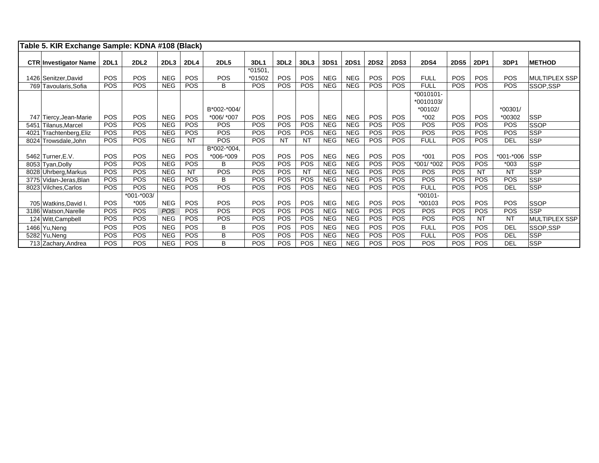| Table 5. KIR Exchange Sample: KDNA #108 (Black) |             |                  |            |             |             |            |                  |            |            |             |             |             |             |             |             |               |                      |
|-------------------------------------------------|-------------|------------------|------------|-------------|-------------|------------|------------------|------------|------------|-------------|-------------|-------------|-------------|-------------|-------------|---------------|----------------------|
| <b>CTR Investigator Name</b>                    | <b>2DL1</b> | 2DL <sub>2</sub> | 2DL3       | <b>2DL4</b> | <b>2DL5</b> | 3DL1       | 3DL <sub>2</sub> | 3DL3       | 3DS1       | <b>2DS1</b> | <b>2DS2</b> | <b>2DS3</b> | <b>2DS4</b> | <b>2DS5</b> | <b>2DP1</b> | 3DP1          | <b>METHOD</b>        |
|                                                 |             |                  |            |             |             | *01501,    |                  |            |            |             |             |             |             |             |             |               |                      |
| 1426 Senitzer, David                            | <b>POS</b>  | <b>POS</b>       | <b>NEG</b> | <b>POS</b>  | <b>POS</b>  | *01502     | <b>POS</b>       | <b>POS</b> | <b>NEG</b> | <b>NEG</b>  | <b>POS</b>  | <b>POS</b>  | <b>FULL</b> | <b>POS</b>  | <b>POS</b>  | <b>POS</b>    | <b>MULTIPLEX SSP</b> |
| 769 Tavoularis, Sofia                           | <b>POS</b>  | <b>POS</b>       | <b>NEG</b> | <b>POS</b>  | B           | <b>POS</b> | <b>POS</b>       | <b>POS</b> | <b>NEG</b> | <b>NEG</b>  | <b>POS</b>  | <b>POS</b>  | <b>FULL</b> | <b>POS</b>  | <b>POS</b>  | <b>POS</b>    | SSOP,SSP             |
|                                                 |             |                  |            |             |             |            |                  |            |            |             |             |             | $*0010101-$ |             |             |               |                      |
|                                                 |             |                  |            |             |             |            |                  |            |            |             |             |             | *0010103/   |             |             |               |                      |
|                                                 |             |                  |            |             | B*002-*004/ |            |                  |            |            |             |             |             | *00102/     |             |             | $*00301/$     |                      |
| 747 Tiercy, Jean-Marie                          | POS         | POS              | <b>NEG</b> | POS         | *006/ *007  | POS        | <b>POS</b>       | <b>POS</b> | <b>NEG</b> | <b>NEG</b>  | <b>POS</b>  | <b>POS</b>  | $*002$      | <b>POS</b>  | POS         | *00302        | <b>SSP</b>           |
| Tilanus, Marcel<br>5451                         | <b>POS</b>  | <b>POS</b>       | <b>NEG</b> | <b>POS</b>  | <b>POS</b>  | POS        | <b>POS</b>       | <b>POS</b> | <b>NEG</b> | <b>NEG</b>  | <b>POS</b>  | <b>POS</b>  | <b>POS</b>  | <b>POS</b>  | <b>POS</b>  | <b>POS</b>    | <b>SSOP</b>          |
| Trachtenberg, Eliz<br>4021                      | POS         | <b>POS</b>       | <b>NEG</b> | <b>POS</b>  | <b>POS</b>  | POS        | <b>POS</b>       | <b>POS</b> | <b>NEG</b> | <b>NEG</b>  | <b>POS</b>  | <b>POS</b>  | <b>POS</b>  | <b>POS</b>  | <b>POS</b>  | <b>POS</b>    | <b>SSP</b>           |
| 8024 Trowsdale, John                            | <b>POS</b>  | <b>POS</b>       | <b>NEG</b> | <b>NT</b>   | <b>POS</b>  | <b>POS</b> | <b>NT</b>        | <b>NT</b>  | <b>NEG</b> | <b>NEG</b>  | <b>POS</b>  | <b>POS</b>  | <b>FULL</b> | <b>POS</b>  | <b>POS</b>  | DEL           | <b>SSP</b>           |
|                                                 |             |                  |            |             | B*002-*004, |            |                  |            |            |             |             |             |             |             |             |               |                      |
| 5462 Turner, E.V.                               | <b>POS</b>  | <b>POS</b>       | <b>NEG</b> | <b>POS</b>  | *006-*009   | POS        | <b>POS</b>       | <b>POS</b> | <b>NEG</b> | <b>NEG</b>  | <b>POS</b>  | <b>POS</b>  | $*001$      | <b>POS</b>  | <b>POS</b>  | $*001 - *006$ | <b>SSP</b>           |
| 8053 Tyan, Dolly                                | <b>POS</b>  | <b>POS</b>       | <b>NEG</b> | <b>POS</b>  | B           | POS        | <b>POS</b>       | <b>POS</b> | <b>NEG</b> | <b>NEG</b>  | <b>POS</b>  | <b>POS</b>  | *001/ *002  | <b>POS</b>  | <b>POS</b>  | $*003$        | <b>SSP</b>           |
| 8028 Uhrberg, Markus                            | <b>POS</b>  | <b>POS</b>       | <b>NEG</b> | NT          | <b>POS</b>  | POS        | <b>POS</b>       | <b>NT</b>  | <b>NEG</b> | <b>NEG</b>  | <b>POS</b>  | <b>POS</b>  | <b>POS</b>  | <b>POS</b>  | NT          | NT            | <b>SSP</b>           |
| 3775 Vidan-Jeras, Blan                          | POS         | POS              | <b>NEG</b> | <b>POS</b>  | B           | POS        | <b>POS</b>       | <b>POS</b> | <b>NEG</b> | <b>NEG</b>  | <b>POS</b>  | <b>POS</b>  | <b>POS</b>  | <b>POS</b>  | <b>POS</b>  | POS           | <b>SSP</b>           |
| 8023 Vilches, Carlos                            | <b>POS</b>  | <b>POS</b>       | <b>NEG</b> | <b>POS</b>  | <b>POS</b>  | POS        | <b>POS</b>       | <b>POS</b> | <b>NEG</b> | <b>NEG</b>  | POS         | <b>POS</b>  | <b>FULL</b> | <b>POS</b>  | <b>POS</b>  | <b>DEL</b>    | <b>SSP</b>           |
|                                                 |             | $*001.*003/$     |            |             |             |            |                  |            |            |             |             |             | $*00101-$   |             |             |               |                      |
| 705 Watkins David I.                            | <b>POS</b>  | $*005$           | <b>NEG</b> | <b>POS</b>  | <b>POS</b>  | POS        | POS              | <b>POS</b> | <b>NEG</b> | <b>NEG</b>  | <b>POS</b>  | <b>POS</b>  | *00103      | <b>POS</b>  | POS         | POS           | <b>SSOP</b>          |
| 3186 Watson, Narelle                            | POS         | <b>POS</b>       | POS        | <b>POS</b>  | <b>POS</b>  | POS        | <b>POS</b>       | <b>POS</b> | <b>NEG</b> | <b>NEG</b>  | <b>POS</b>  | <b>POS</b>  | <b>POS</b>  | <b>POS</b>  | <b>POS</b>  | <b>POS</b>    | <b>SSP</b>           |
| 124 Witt, Campbell                              | POS         | POS              | <b>NEG</b> | <b>POS</b>  | <b>POS</b>  | POS        | <b>POS</b>       | <b>POS</b> | <b>NEG</b> | <b>NEG</b>  | <b>POS</b>  | <b>POS</b>  | <b>POS</b>  | <b>POS</b>  | <b>NT</b>   | <b>NT</b>     | <b>MULTIPLEX SSP</b> |
| 1466 Yu, Neng                                   | POS         | <b>POS</b>       | <b>NEG</b> | <b>POS</b>  | B           | POS        | <b>POS</b>       | <b>POS</b> | <b>NEG</b> | <b>NEG</b>  | <b>POS</b>  | <b>POS</b>  | <b>FULL</b> | <b>POS</b>  | <b>POS</b>  | DEL           | SSOP,SSP             |
| 5282 Yu, Neng                                   | POS         | <b>POS</b>       | <b>NEG</b> | <b>POS</b>  | B           | POS        | <b>POS</b>       | <b>POS</b> | <b>NEG</b> | <b>NEG</b>  | <b>POS</b>  | <b>POS</b>  | <b>FULL</b> | <b>POS</b>  | <b>POS</b>  | <b>DEL</b>    | <b>SSP</b>           |
| 713 Zachary, Andrea                             | <b>POS</b>  | <b>POS</b>       | <b>NEG</b> | <b>POS</b>  | B           | POS        | <b>POS</b>       | <b>POS</b> | <b>NEG</b> | <b>NEG</b>  | <b>POS</b>  | <b>POS</b>  | <b>POS</b>  | <b>POS</b>  | <b>POS</b>  | DEL           | <b>SSP</b>           |